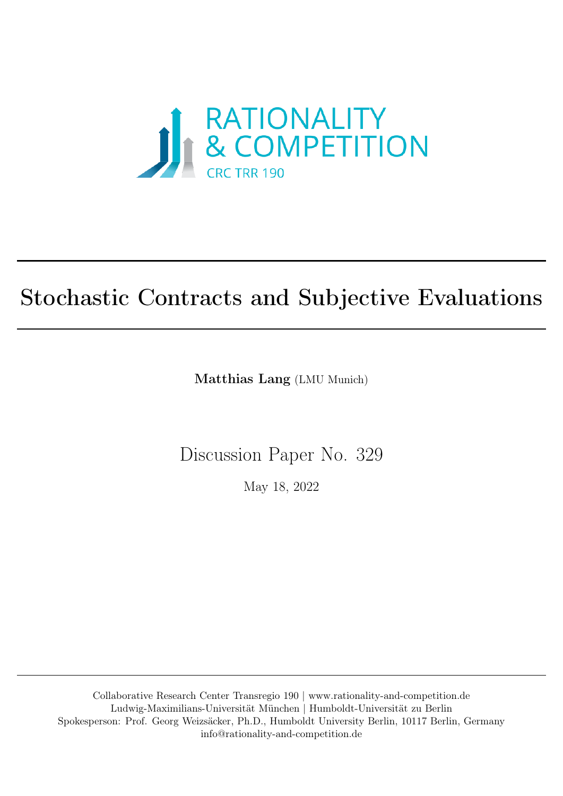

# Stochastic Contracts and Subjective Evaluations

Matthias Lang (LMU Munich)

Discussion Paper No. 329

May 18, 2022

Collaborative Research Center Transregio 190 | [www.rationality-and-competition.de](https://rationality-and-competition.de) Ludwig-Maximilians-Universität München | Humboldt-Universität zu Berlin Spokesperson: Prof. Georg Weizsäcker, Ph.D., Humboldt University Berlin, 10117 Berlin, Germany [info@rationality-and-competition.de](mailto: info@rationality-and-competition.de)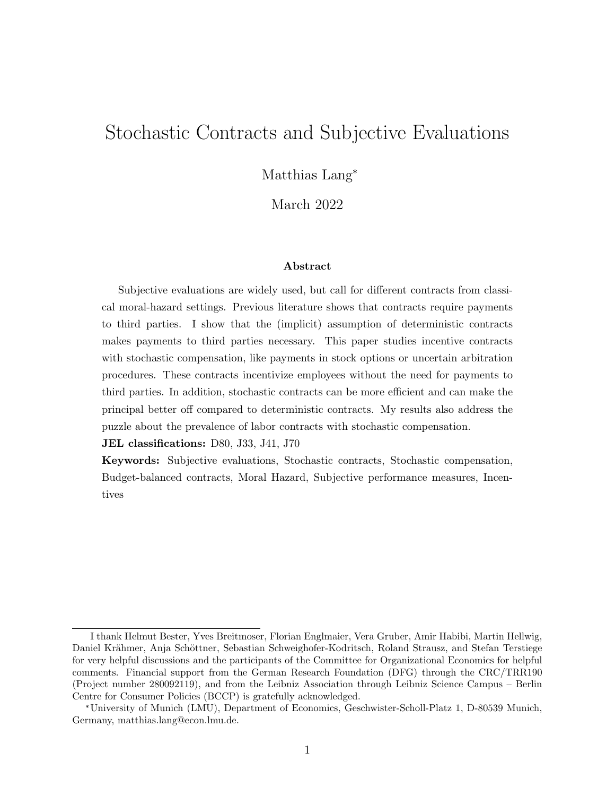# Stochastic Contracts and Subjective Evaluations

Matthias Lang\*

March 2022

#### Abstract

Subjective evaluations are widely used, but call for different contracts from classical moral-hazard settings. Previous literature shows that contracts require payments to third parties. I show that the (implicit) assumption of deterministic contracts makes payments to third parties necessary. This paper studies incentive contracts with stochastic compensation, like payments in stock options or uncertain arbitration procedures. These contracts incentivize employees without the need for payments to third parties. In addition, stochastic contracts can be more efficient and can make the principal better off compared to deterministic contracts. My results also address the puzzle about the prevalence of labor contracts with stochastic compensation.

JEL classifications: D80, J33, J41, J70

Keywords: Subjective evaluations, Stochastic contracts, Stochastic compensation, Budget-balanced contracts, Moral Hazard, Subjective performance measures, Incentives

I thank Helmut Bester, Yves Breitmoser, Florian Englmaier, Vera Gruber, Amir Habibi, Martin Hellwig, Daniel Krähmer, Anja Schöttner, Sebastian Schweighofer-Kodritsch, Roland Strausz, and Stefan Terstiege for very helpful discussions and the participants of the Committee for Organizational Economics for helpful comments. Financial support from the German Research Foundation (DFG) through the CRC/TRR190 (Project number 280092119), and from the Leibniz Association through Leibniz Science Campus – Berlin Centre for Consumer Policies (BCCP) is gratefully acknowledged.

<sup>\*</sup>University of Munich (LMU), Department of Economics, Geschwister-Scholl-Platz 1, D-80539 Munich, Germany, matthias.lang@econ.lmu.de.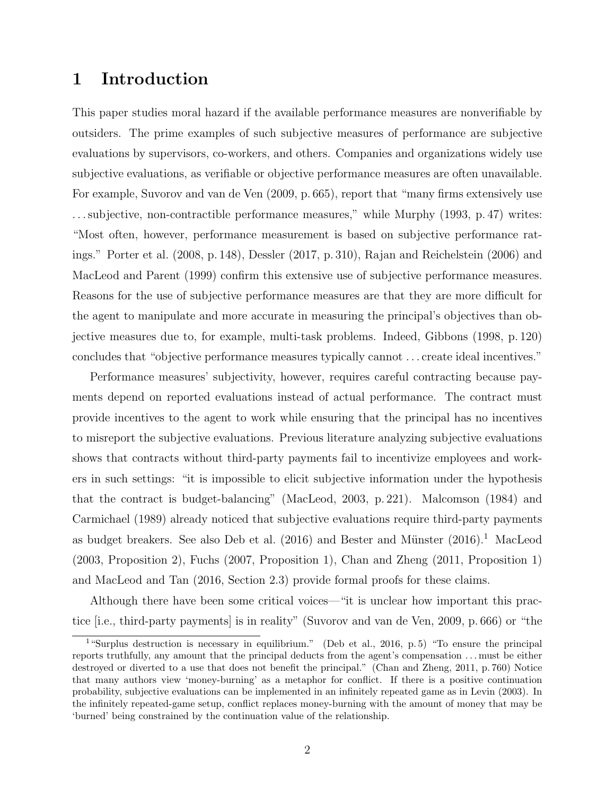# 1 Introduction

This paper studies moral hazard if the available performance measures are nonverifiable by outsiders. The prime examples of such subjective measures of performance are subjective evaluations by supervisors, co-workers, and others. Companies and organizations widely use subjective evaluations, as verifiable or objective performance measures are often unavailable. For example, Suvorov and van de Ven (2009, p. 665), report that "many firms extensively use . . . subjective, non-contractible performance measures," while Murphy (1993, p. 47) writes: "Most often, however, performance measurement is based on subjective performance ratings." Porter et al. (2008, p. 148), Dessler (2017, p. 310), Rajan and Reichelstein (2006) and MacLeod and Parent (1999) confirm this extensive use of subjective performance measures. Reasons for the use of subjective performance measures are that they are more difficult for the agent to manipulate and more accurate in measuring the principal's objectives than objective measures due to, for example, multi-task problems. Indeed, Gibbons (1998, p. 120) concludes that "objective performance measures typically cannot . . . create ideal incentives."

Performance measures' subjectivity, however, requires careful contracting because payments depend on reported evaluations instead of actual performance. The contract must provide incentives to the agent to work while ensuring that the principal has no incentives to misreport the subjective evaluations. Previous literature analyzing subjective evaluations shows that contracts without third-party payments fail to incentivize employees and workers in such settings: "it is impossible to elicit subjective information under the hypothesis that the contract is budget-balancing" (MacLeod, 2003, p. 221). Malcomson (1984) and Carmichael (1989) already noticed that subjective evaluations require third-party payments as budget breakers. See also Deb et al.  $(2016)$  and Bester and Münster  $(2016).<sup>1</sup>$  MacLeod (2003, Proposition 2), Fuchs (2007, Proposition 1), Chan and Zheng (2011, Proposition 1) and MacLeod and Tan (2016, Section 2.3) provide formal proofs for these claims.

Although there have been some critical voices—"it is unclear how important this practice [i.e., third-party payments] is in reality" (Suvorov and van de Ven, 2009, p. 666) or "the

<sup>&</sup>lt;sup>1</sup>"Surplus destruction is necessary in equilibrium." (Deb et al., 2016, p. 5) "To ensure the principal reports truthfully, any amount that the principal deducts from the agent's compensation . . . must be either destroyed or diverted to a use that does not benefit the principal." (Chan and Zheng, 2011, p. 760) Notice that many authors view 'money-burning' as a metaphor for conflict. If there is a positive continuation probability, subjective evaluations can be implemented in an infinitely repeated game as in Levin (2003). In the infinitely repeated-game setup, conflict replaces money-burning with the amount of money that may be 'burned' being constrained by the continuation value of the relationship.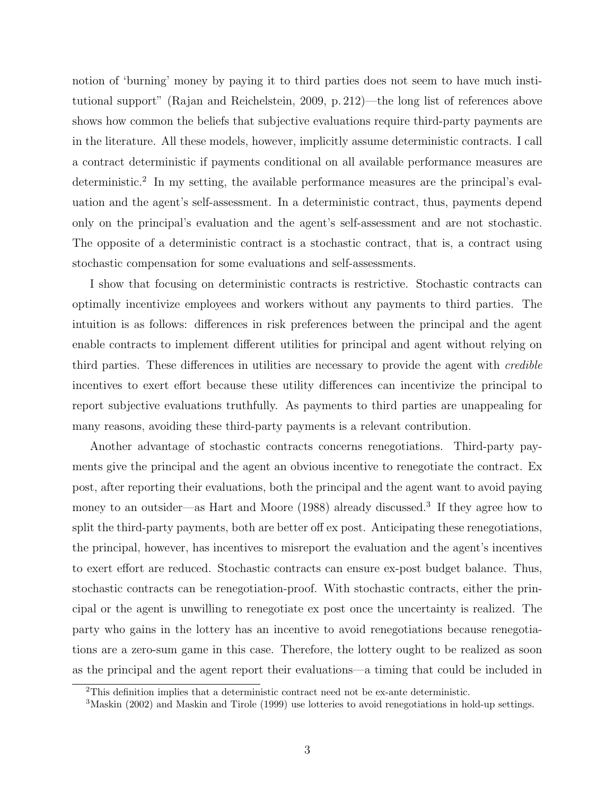notion of 'burning' money by paying it to third parties does not seem to have much institutional support" (Rajan and Reichelstein, 2009, p. 212)—the long list of references above shows how common the beliefs that subjective evaluations require third-party payments are in the literature. All these models, however, implicitly assume deterministic contracts. I call a contract deterministic if payments conditional on all available performance measures are deterministic.<sup>2</sup> In my setting, the available performance measures are the principal's evaluation and the agent's self-assessment. In a deterministic contract, thus, payments depend only on the principal's evaluation and the agent's self-assessment and are not stochastic. The opposite of a deterministic contract is a stochastic contract, that is, a contract using stochastic compensation for some evaluations and self-assessments.

I show that focusing on deterministic contracts is restrictive. Stochastic contracts can optimally incentivize employees and workers without any payments to third parties. The intuition is as follows: differences in risk preferences between the principal and the agent enable contracts to implement different utilities for principal and agent without relying on third parties. These differences in utilities are necessary to provide the agent with *credible* incentives to exert effort because these utility differences can incentivize the principal to report subjective evaluations truthfully. As payments to third parties are unappealing for many reasons, avoiding these third-party payments is a relevant contribution.

Another advantage of stochastic contracts concerns renegotiations. Third-party payments give the principal and the agent an obvious incentive to renegotiate the contract. Ex post, after reporting their evaluations, both the principal and the agent want to avoid paying money to an outsider—as Hart and Moore (1988) already discussed.<sup>3</sup> If they agree how to split the third-party payments, both are better off ex post. Anticipating these renegotiations, the principal, however, has incentives to misreport the evaluation and the agent's incentives to exert effort are reduced. Stochastic contracts can ensure ex-post budget balance. Thus, stochastic contracts can be renegotiation-proof. With stochastic contracts, either the principal or the agent is unwilling to renegotiate ex post once the uncertainty is realized. The party who gains in the lottery has an incentive to avoid renegotiations because renegotiations are a zero-sum game in this case. Therefore, the lottery ought to be realized as soon as the principal and the agent report their evaluations—a timing that could be included in

<sup>2</sup>This definition implies that a deterministic contract need not be ex-ante deterministic.

<sup>3</sup>Maskin (2002) and Maskin and Tirole (1999) use lotteries to avoid renegotiations in hold-up settings.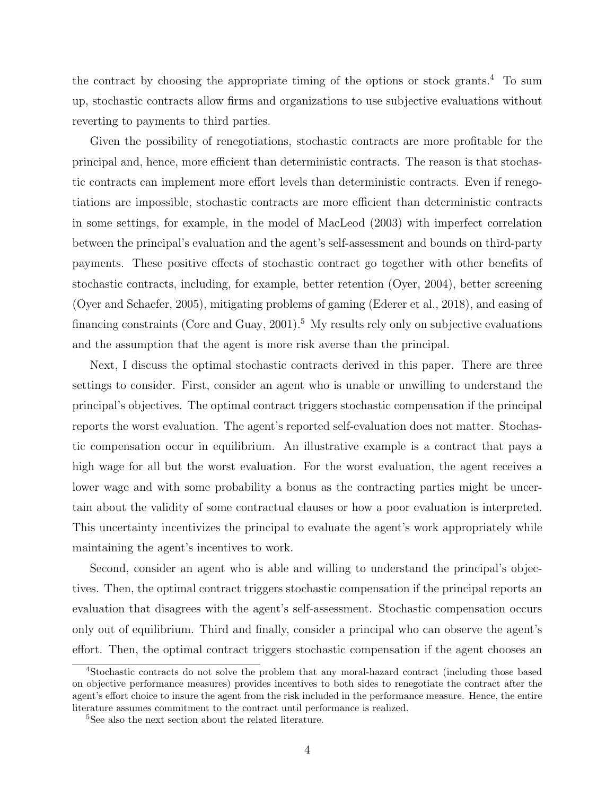the contract by choosing the appropriate timing of the options or stock grants.<sup>4</sup> To sum up, stochastic contracts allow firms and organizations to use subjective evaluations without reverting to payments to third parties.

Given the possibility of renegotiations, stochastic contracts are more profitable for the principal and, hence, more efficient than deterministic contracts. The reason is that stochastic contracts can implement more effort levels than deterministic contracts. Even if renegotiations are impossible, stochastic contracts are more efficient than deterministic contracts in some settings, for example, in the model of MacLeod (2003) with imperfect correlation between the principal's evaluation and the agent's self-assessment and bounds on third-party payments. These positive effects of stochastic contract go together with other benefits of stochastic contracts, including, for example, better retention (Oyer, 2004), better screening (Oyer and Schaefer, 2005), mitigating problems of gaming (Ederer et al., 2018), and easing of financing constraints (Core and Guay,  $2001$ ).<sup>5</sup> My results rely only on subjective evaluations and the assumption that the agent is more risk averse than the principal.

Next, I discuss the optimal stochastic contracts derived in this paper. There are three settings to consider. First, consider an agent who is unable or unwilling to understand the principal's objectives. The optimal contract triggers stochastic compensation if the principal reports the worst evaluation. The agent's reported self-evaluation does not matter. Stochastic compensation occur in equilibrium. An illustrative example is a contract that pays a high wage for all but the worst evaluation. For the worst evaluation, the agent receives a lower wage and with some probability a bonus as the contracting parties might be uncertain about the validity of some contractual clauses or how a poor evaluation is interpreted. This uncertainty incentivizes the principal to evaluate the agent's work appropriately while maintaining the agent's incentives to work.

Second, consider an agent who is able and willing to understand the principal's objectives. Then, the optimal contract triggers stochastic compensation if the principal reports an evaluation that disagrees with the agent's self-assessment. Stochastic compensation occurs only out of equilibrium. Third and finally, consider a principal who can observe the agent's effort. Then, the optimal contract triggers stochastic compensation if the agent chooses an

<sup>4</sup>Stochastic contracts do not solve the problem that any moral-hazard contract (including those based on objective performance measures) provides incentives to both sides to renegotiate the contract after the agent's effort choice to insure the agent from the risk included in the performance measure. Hence, the entire literature assumes commitment to the contract until performance is realized.

<sup>&</sup>lt;sup>5</sup>See also the next section about the related literature.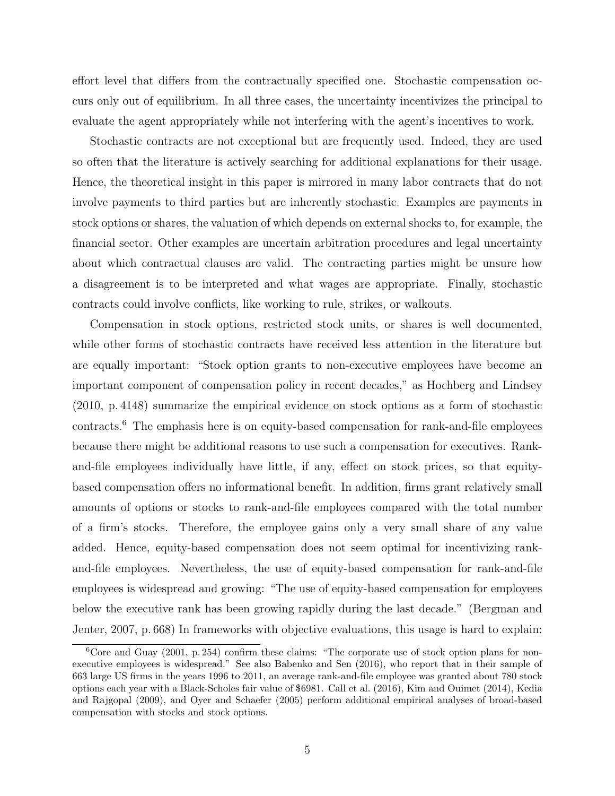effort level that differs from the contractually specified one. Stochastic compensation occurs only out of equilibrium. In all three cases, the uncertainty incentivizes the principal to evaluate the agent appropriately while not interfering with the agent's incentives to work.

Stochastic contracts are not exceptional but are frequently used. Indeed, they are used so often that the literature is actively searching for additional explanations for their usage. Hence, the theoretical insight in this paper is mirrored in many labor contracts that do not involve payments to third parties but are inherently stochastic. Examples are payments in stock options or shares, the valuation of which depends on external shocks to, for example, the financial sector. Other examples are uncertain arbitration procedures and legal uncertainty about which contractual clauses are valid. The contracting parties might be unsure how a disagreement is to be interpreted and what wages are appropriate. Finally, stochastic contracts could involve conflicts, like working to rule, strikes, or walkouts.

Compensation in stock options, restricted stock units, or shares is well documented, while other forms of stochastic contracts have received less attention in the literature but are equally important: "Stock option grants to non-executive employees have become an important component of compensation policy in recent decades," as Hochberg and Lindsey (2010, p. 4148) summarize the empirical evidence on stock options as a form of stochastic contracts.6 The emphasis here is on equity-based compensation for rank-and-file employees because there might be additional reasons to use such a compensation for executives. Rankand-file employees individually have little, if any, effect on stock prices, so that equitybased compensation offers no informational benefit. In addition, firms grant relatively small amounts of options or stocks to rank-and-file employees compared with the total number of a firm's stocks. Therefore, the employee gains only a very small share of any value added. Hence, equity-based compensation does not seem optimal for incentivizing rankand-file employees. Nevertheless, the use of equity-based compensation for rank-and-file employees is widespread and growing: "The use of equity-based compensation for employees below the executive rank has been growing rapidly during the last decade." (Bergman and Jenter, 2007, p. 668) In frameworks with objective evaluations, this usage is hard to explain:

 ${}^{6}$ Core and Guay (2001, p. 254) confirm these claims: "The corporate use of stock option plans for nonexecutive employees is widespread." See also Babenko and Sen (2016), who report that in their sample of 663 large US firms in the years 1996 to 2011, an average rank-and-file employee was granted about 780 stock options each year with a Black-Scholes fair value of \$6981. Call et al. (2016), Kim and Ouimet (2014), Kedia and Rajgopal (2009), and Oyer and Schaefer (2005) perform additional empirical analyses of broad-based compensation with stocks and stock options.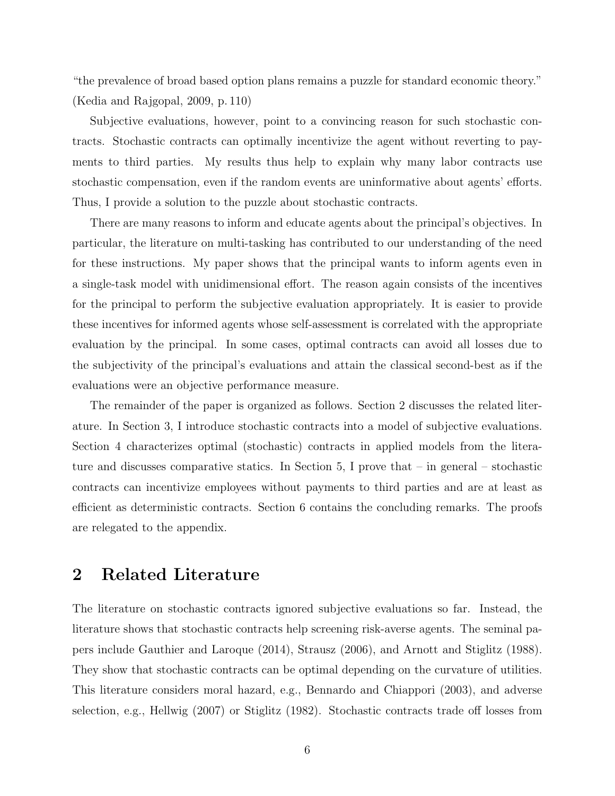"the prevalence of broad based option plans remains a puzzle for standard economic theory." (Kedia and Rajgopal, 2009, p. 110)

Subjective evaluations, however, point to a convincing reason for such stochastic contracts. Stochastic contracts can optimally incentivize the agent without reverting to payments to third parties. My results thus help to explain why many labor contracts use stochastic compensation, even if the random events are uninformative about agents' efforts. Thus, I provide a solution to the puzzle about stochastic contracts.

There are many reasons to inform and educate agents about the principal's objectives. In particular, the literature on multi-tasking has contributed to our understanding of the need for these instructions. My paper shows that the principal wants to inform agents even in a single-task model with unidimensional effort. The reason again consists of the incentives for the principal to perform the subjective evaluation appropriately. It is easier to provide these incentives for informed agents whose self-assessment is correlated with the appropriate evaluation by the principal. In some cases, optimal contracts can avoid all losses due to the subjectivity of the principal's evaluations and attain the classical second-best as if the evaluations were an objective performance measure.

The remainder of the paper is organized as follows. Section 2 discusses the related literature. In Section 3, I introduce stochastic contracts into a model of subjective evaluations. Section 4 characterizes optimal (stochastic) contracts in applied models from the literature and discusses comparative statics. In Section 5, I prove that  $-$  in general  $-$  stochastic contracts can incentivize employees without payments to third parties and are at least as efficient as deterministic contracts. Section 6 contains the concluding remarks. The proofs are relegated to the appendix.

## 2 Related Literature

The literature on stochastic contracts ignored subjective evaluations so far. Instead, the literature shows that stochastic contracts help screening risk-averse agents. The seminal papers include Gauthier and Laroque (2014), Strausz (2006), and Arnott and Stiglitz (1988). They show that stochastic contracts can be optimal depending on the curvature of utilities. This literature considers moral hazard, e.g., Bennardo and Chiappori (2003), and adverse selection, e.g., Hellwig (2007) or Stiglitz (1982). Stochastic contracts trade off losses from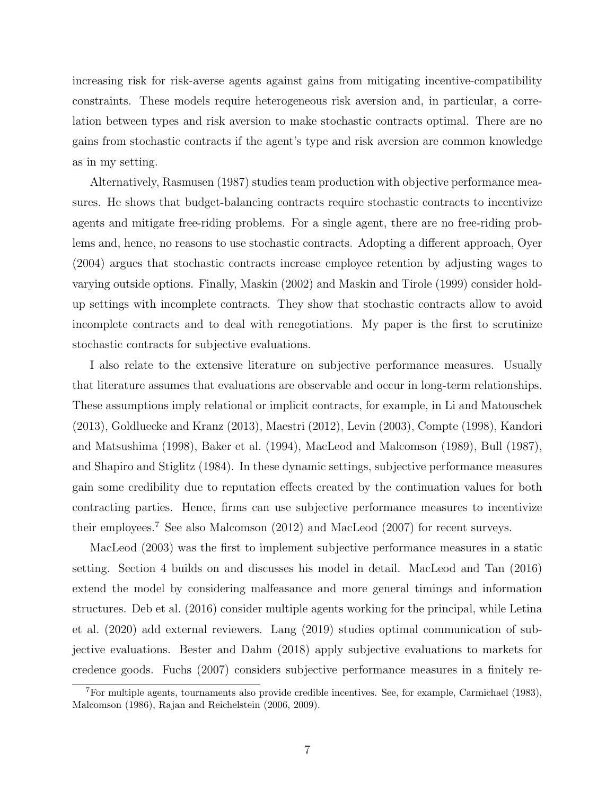increasing risk for risk-averse agents against gains from mitigating incentive-compatibility constraints. These models require heterogeneous risk aversion and, in particular, a correlation between types and risk aversion to make stochastic contracts optimal. There are no gains from stochastic contracts if the agent's type and risk aversion are common knowledge as in my setting.

Alternatively, Rasmusen (1987) studies team production with objective performance measures. He shows that budget-balancing contracts require stochastic contracts to incentivize agents and mitigate free-riding problems. For a single agent, there are no free-riding problems and, hence, no reasons to use stochastic contracts. Adopting a different approach, Oyer (2004) argues that stochastic contracts increase employee retention by adjusting wages to varying outside options. Finally, Maskin (2002) and Maskin and Tirole (1999) consider holdup settings with incomplete contracts. They show that stochastic contracts allow to avoid incomplete contracts and to deal with renegotiations. My paper is the first to scrutinize stochastic contracts for subjective evaluations.

I also relate to the extensive literature on subjective performance measures. Usually that literature assumes that evaluations are observable and occur in long-term relationships. These assumptions imply relational or implicit contracts, for example, in Li and Matouschek (2013), Goldluecke and Kranz (2013), Maestri (2012), Levin (2003), Compte (1998), Kandori and Matsushima (1998), Baker et al. (1994), MacLeod and Malcomson (1989), Bull (1987), and Shapiro and Stiglitz (1984). In these dynamic settings, subjective performance measures gain some credibility due to reputation effects created by the continuation values for both contracting parties. Hence, firms can use subjective performance measures to incentivize their employees.7 See also Malcomson (2012) and MacLeod (2007) for recent surveys.

MacLeod (2003) was the first to implement subjective performance measures in a static setting. Section 4 builds on and discusses his model in detail. MacLeod and Tan (2016) extend the model by considering malfeasance and more general timings and information structures. Deb et al. (2016) consider multiple agents working for the principal, while Letina et al. (2020) add external reviewers. Lang (2019) studies optimal communication of subjective evaluations. Bester and Dahm (2018) apply subjective evaluations to markets for credence goods. Fuchs (2007) considers subjective performance measures in a finitely re-

<sup>7</sup>For multiple agents, tournaments also provide credible incentives. See, for example, Carmichael (1983), Malcomson (1986), Rajan and Reichelstein (2006, 2009).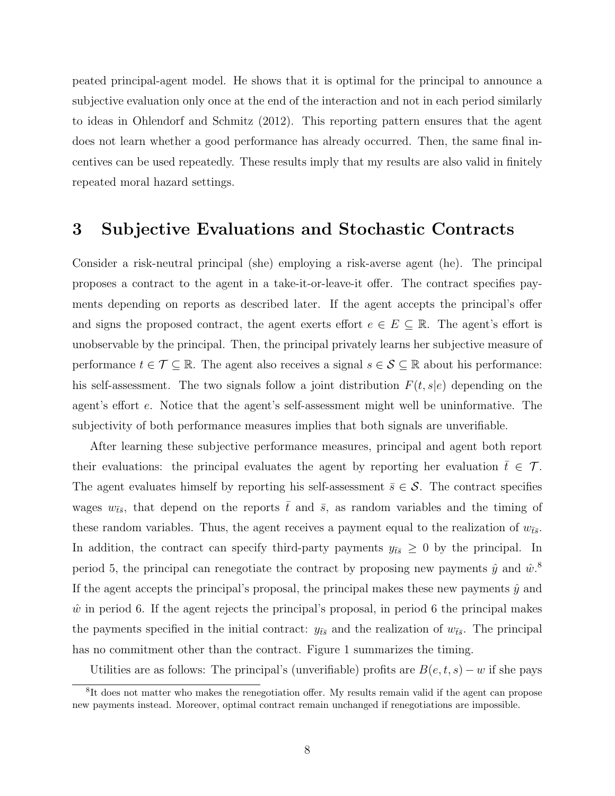peated principal-agent model. He shows that it is optimal for the principal to announce a subjective evaluation only once at the end of the interaction and not in each period similarly to ideas in Ohlendorf and Schmitz (2012). This reporting pattern ensures that the agent does not learn whether a good performance has already occurred. Then, the same final incentives can be used repeatedly. These results imply that my results are also valid in finitely repeated moral hazard settings.

## 3 Subjective Evaluations and Stochastic Contracts

Consider a risk-neutral principal (she) employing a risk-averse agent (he). The principal proposes a contract to the agent in a take-it-or-leave-it offer. The contract specifies payments depending on reports as described later. If the agent accepts the principal's offer and signs the proposed contract, the agent exerts effort  $e \in E \subseteq \mathbb{R}$ . The agent's effort is unobservable by the principal. Then, the principal privately learns her subjective measure of performance  $t \in \mathcal{T} \subseteq \mathbb{R}$ . The agent also receives a signal  $s \in \mathcal{S} \subseteq \mathbb{R}$  about his performance: his self-assessment. The two signals follow a joint distribution  $F(t, s|e)$  depending on the agent's effort e. Notice that the agent's self-assessment might well be uninformative. The subjectivity of both performance measures implies that both signals are unverifiable.

After learning these subjective performance measures, principal and agent both report their evaluations: the principal evaluates the agent by reporting her evaluation  $\bar{t} \in \mathcal{T}$ . The agent evaluates himself by reporting his self-assessment  $\bar{s} \in \mathcal{S}$ . The contract specifies wages  $w_{\bar{t}\bar{s}}$ , that depend on the reports  $\bar{t}$  and  $\bar{s}$ , as random variables and the timing of these random variables. Thus, the agent receives a payment equal to the realization of  $w_{\bar{t}\bar{s}}$ . In addition, the contract can specify third-party payments  $y_{\bar{t}s} \geq 0$  by the principal. In period 5, the principal can renegotiate the contract by proposing new payments  $\hat{y}$  and  $\hat{w}$ .<sup>8</sup> If the agent accepts the principal's proposal, the principal makes these new payments  $\hat{y}$  and  $\hat{w}$  in period 6. If the agent rejects the principal's proposal, in period 6 the principal makes the payments specified in the initial contract:  $y_{\bar{t}\bar{s}}$  and the realization of  $w_{\bar{t}\bar{s}}$ . The principal has no commitment other than the contract. Figure 1 summarizes the timing.

Utilities are as follows: The principal's (unverifiable) profits are  $B(e, t, s) - w$  if she pays

<sup>&</sup>lt;sup>8</sup>It does not matter who makes the renegotiation offer. My results remain valid if the agent can propose new payments instead. Moreover, optimal contract remain unchanged if renegotiations are impossible.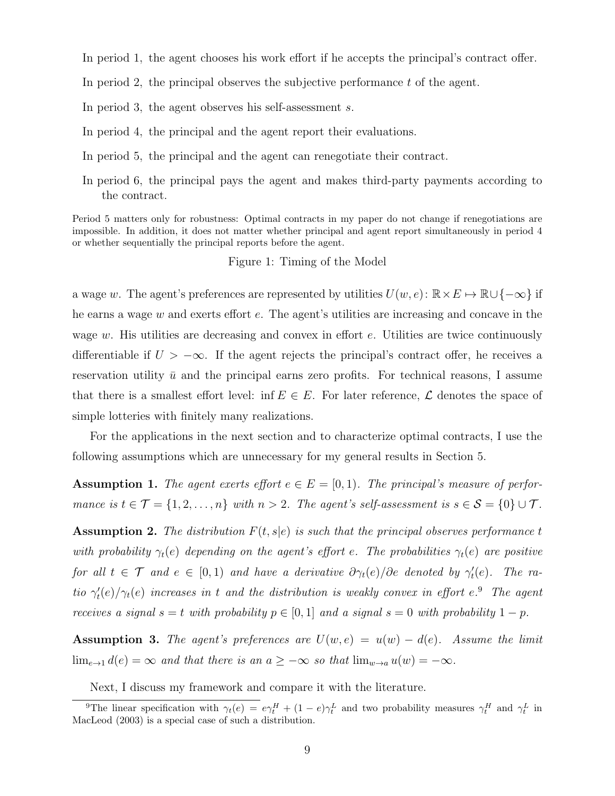- In period 1, the agent chooses his work effort if he accepts the principal's contract offer.
- In period 2, the principal observes the subjective performance  $t$  of the agent.
- In period 3, the agent observes his self-assessment s.
- In period 4, the principal and the agent report their evaluations.
- In period 5, the principal and the agent can renegotiate their contract.
- In period 6, the principal pays the agent and makes third-party payments according to the contract.

Period 5 matters only for robustness: Optimal contracts in my paper do not change if renegotiations are impossible. In addition, it does not matter whether principal and agent report simultaneously in period 4 or whether sequentially the principal reports before the agent.

#### Figure 1: Timing of the Model

a wage w. The agent's preferences are represented by utilities  $U(w, e)$ :  $\mathbb{R} \times E \mapsto \mathbb{R} \cup \{-\infty\}$  if he earns a wage w and exerts effort e. The agent's utilities are increasing and concave in the wage  $w$ . His utilities are decreasing and convex in effort  $e$ . Utilities are twice continuously differentiable if  $U > -\infty$ . If the agent rejects the principal's contract offer, he receives a reservation utility  $\bar{u}$  and the principal earns zero profits. For technical reasons, I assume that there is a smallest effort level: inf  $E \in E$ . For later reference,  $\mathcal L$  denotes the space of simple lotteries with finitely many realizations.

For the applications in the next section and to characterize optimal contracts, I use the following assumptions which are unnecessary for my general results in Section 5.

**Assumption 1.** The agent exerts effort  $e \in E = [0, 1)$ . The principal's measure of performance is  $t \in \mathcal{T} = \{1, 2, ..., n\}$  with  $n > 2$ . The agent's self-assessment is  $s \in \mathcal{S} = \{0\} \cup \mathcal{T}$ .

**Assumption 2.** The distribution  $F(t, s|e)$  is such that the principal observes performance t with probability  $\gamma_t(e)$  depending on the agent's effort e. The probabilities  $\gamma_t(e)$  are positive for all  $t \in \mathcal{T}$  and  $e \in [0,1)$  and have a derivative  $\partial \gamma_t(e)/\partial e$  denoted by  $\gamma'_t(e)$ . The ratio  $\gamma_t'(e)/\gamma_t(e)$  increases in t and the distribution is weakly convex in effort e.<sup>9</sup> The agent receives a signal  $s = t$  with probability  $p \in [0, 1]$  and a signal  $s = 0$  with probability  $1 - p$ .

**Assumption 3.** The agent's preferences are  $U(w, e) = u(w) - d(e)$ . Assume the limit  $\lim_{e \to 1} d(e) = \infty$  and that there is an  $a \geq -\infty$  so that  $\lim_{w \to a} u(w) = -\infty$ .

Next, I discuss my framework and compare it with the literature.

<sup>&</sup>lt;sup>9</sup>The linear specification with  $\gamma_t(e) = e\gamma_t^H + (1 - e)\gamma_t^L$  and two probability measures  $\gamma_t^H$  and  $\gamma_t^L$  in MacLeod (2003) is a special case of such a distribution.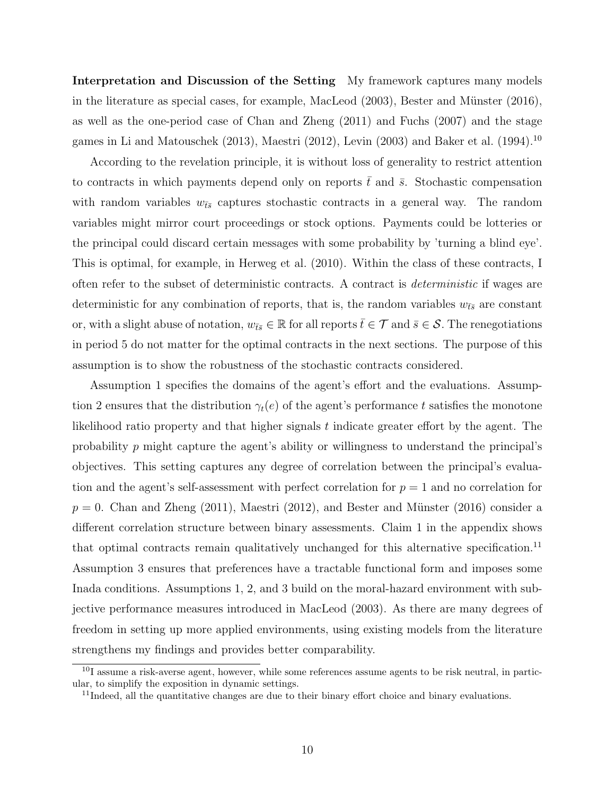Interpretation and Discussion of the Setting My framework captures many models in the literature as special cases, for example, MacLeod  $(2003)$ , Bester and Münster  $(2016)$ , as well as the one-period case of Chan and Zheng (2011) and Fuchs (2007) and the stage games in Li and Matouschek (2013), Maestri (2012), Levin (2003) and Baker et al. (1994).<sup>10</sup>

According to the revelation principle, it is without loss of generality to restrict attention to contracts in which payments depend only on reports  $\bar{t}$  and  $\bar{s}$ . Stochastic compensation with random variables  $w_{\bar{t}s}$  captures stochastic contracts in a general way. The random variables might mirror court proceedings or stock options. Payments could be lotteries or the principal could discard certain messages with some probability by 'turning a blind eye'. This is optimal, for example, in Herweg et al. (2010). Within the class of these contracts, I often refer to the subset of deterministic contracts. A contract is deterministic if wages are deterministic for any combination of reports, that is, the random variables  $w_{\bar{t}s}$  are constant or, with a slight abuse of notation,  $w_{\bar{t}\bar{s}} \in \mathbb{R}$  for all reports  $\bar{t} \in \mathcal{T}$  and  $\bar{s} \in \mathcal{S}$ . The renegotiations in period 5 do not matter for the optimal contracts in the next sections. The purpose of this assumption is to show the robustness of the stochastic contracts considered.

Assumption 1 specifies the domains of the agent's effort and the evaluations. Assumption 2 ensures that the distribution  $\gamma_t(e)$  of the agent's performance t satisfies the monotone likelihood ratio property and that higher signals t indicate greater effort by the agent. The probability  $p$  might capture the agent's ability or willingness to understand the principal's objectives. This setting captures any degree of correlation between the principal's evaluation and the agent's self-assessment with perfect correlation for  $p = 1$  and no correlation for  $p = 0$ . Chan and Zheng (2011), Maestri (2012), and Bester and Münster (2016) consider a different correlation structure between binary assessments. Claim 1 in the appendix shows that optimal contracts remain qualitatively unchanged for this alternative specification.11 Assumption 3 ensures that preferences have a tractable functional form and imposes some Inada conditions. Assumptions 1, 2, and 3 build on the moral-hazard environment with subjective performance measures introduced in MacLeod (2003). As there are many degrees of freedom in setting up more applied environments, using existing models from the literature strengthens my findings and provides better comparability.

<sup>&</sup>lt;sup>10</sup>I assume a risk-averse agent, however, while some references assume agents to be risk neutral, in particular, to simplify the exposition in dynamic settings.

 $11$ Indeed, all the quantitative changes are due to their binary effort choice and binary evaluations.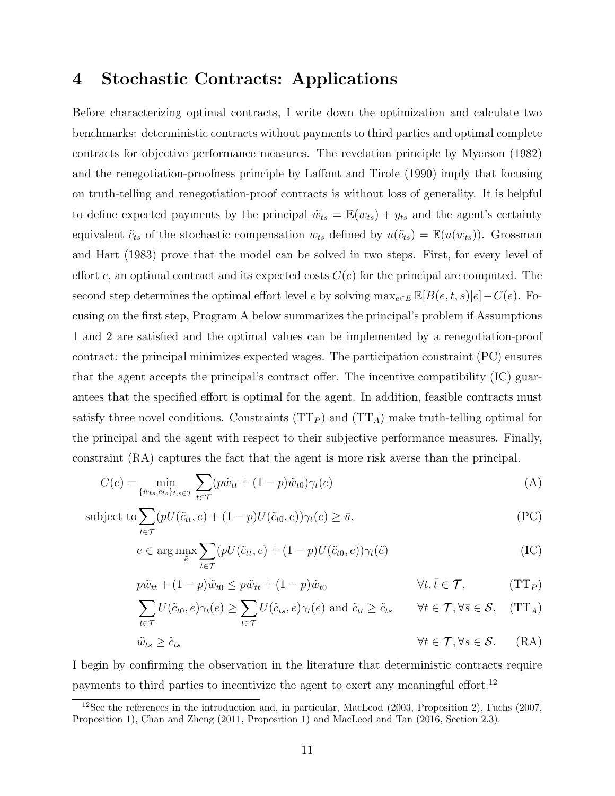# 4 Stochastic Contracts: Applications

Before characterizing optimal contracts, I write down the optimization and calculate two benchmarks: deterministic contracts without payments to third parties and optimal complete contracts for objective performance measures. The revelation principle by Myerson (1982) and the renegotiation-proofness principle by Laffont and Tirole (1990) imply that focusing on truth-telling and renegotiation-proof contracts is without loss of generality. It is helpful to define expected payments by the principal  $\tilde{w}_{ts} = \mathbb{E}(w_{ts}) + y_{ts}$  and the agent's certainty equivalent  $\tilde{c}_{ts}$  of the stochastic compensation  $w_{ts}$  defined by  $u(\tilde{c}_{ts}) = \mathbb{E}(u(w_{ts}))$ . Grossman and Hart (1983) prove that the model can be solved in two steps. First, for every level of effort e, an optimal contract and its expected costs  $C(e)$  for the principal are computed. The second step determines the optimal effort level e by solving  $\max_{e \in E} \mathbb{E}[B(e, t, s)|e] - C(e)$ . Focusing on the first step, Program A below summarizes the principal's problem if Assumptions 1 and 2 are satisfied and the optimal values can be implemented by a renegotiation-proof contract: the principal minimizes expected wages. The participation constraint (PC) ensures that the agent accepts the principal's contract offer. The incentive compatibility (IC) guarantees that the specified effort is optimal for the agent. In addition, feasible contracts must satisfy three novel conditions. Constraints  $(TT_P)$  and  $(TT_A)$  make truth-telling optimal for the principal and the agent with respect to their subjective performance measures. Finally, constraint (RA) captures the fact that the agent is more risk averse than the principal.

$$
C(e) = \min_{\{\tilde{w}_{ts}, \tilde{c}_{ts}\}_{t,s \in \mathcal{T}}} \sum_{t \in \mathcal{T}} (p\tilde{w}_{tt} + (1-p)\tilde{w}_{t0})\gamma_t(e) \tag{A}
$$

subject to 
$$
\sum_{t \in \mathcal{T}} (pU(\tilde{c}_{tt}, e) + (1 - p)U(\tilde{c}_{t0}, e))\gamma_t(e) \ge \bar{u},
$$
 (PC)

$$
e \in \arg\max_{\tilde{e}} \sum_{t \in \mathcal{T}} (pU(\tilde{c}_{tt}, e) + (1 - p)U(\tilde{c}_{t0}, e))\gamma_t(\tilde{e})
$$
(IC)

$$
p\tilde{w}_{tt} + (1-p)\tilde{w}_{t0} \le p\tilde{w}_{\bar{t}t} + (1-p)\tilde{w}_{\bar{t}0} \qquad \forall t, \bar{t} \in \mathcal{T}, \qquad (\text{TT}_P)
$$

$$
\sum_{t \in \mathcal{T}} U(\tilde{c}_{t0}, e) \gamma_t(e) \ge \sum_{t \in \mathcal{T}} U(\tilde{c}_{t\bar{s}}, e) \gamma_t(e) \text{ and } \tilde{c}_{tt} \ge \tilde{c}_{t\bar{s}} \qquad \forall t \in \mathcal{T}, \forall \bar{s} \in \mathcal{S}, \quad (\text{TT}_A)
$$

$$
\tilde{w}_{ts} \ge \tilde{c}_{ts} \qquad \qquad \forall t \in \mathcal{T}, \forall s \in \mathcal{S}. \qquad (RA)
$$

I begin by confirming the observation in the literature that deterministic contracts require payments to third parties to incentivize the agent to exert any meaningful effort.<sup>12</sup>

<sup>&</sup>lt;sup>12</sup>See the references in the introduction and, in particular, MacLeod (2003, Proposition 2), Fuchs (2007, Proposition 1), Chan and Zheng (2011, Proposition 1) and MacLeod and Tan (2016, Section 2.3).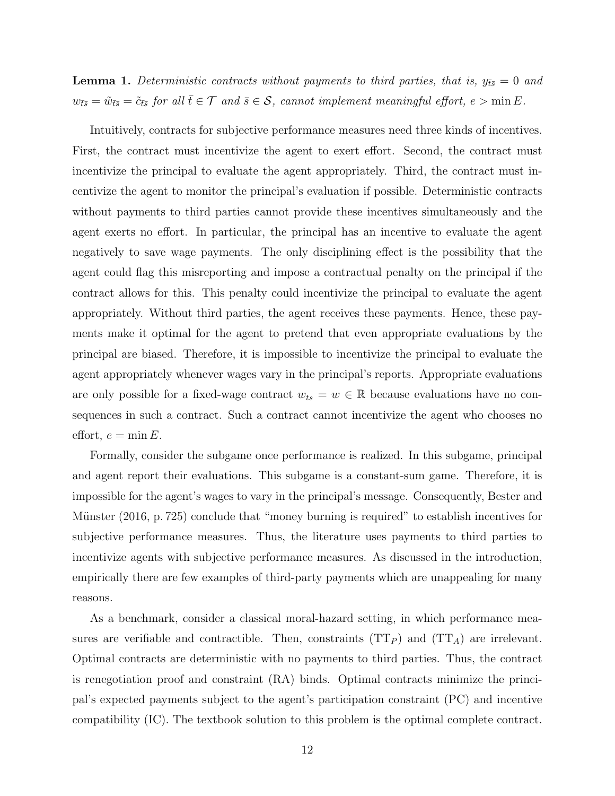**Lemma 1.** Deterministic contracts without payments to third parties, that is,  $y_{\bar{t}\bar{s}} = 0$  and  $w_{\bar{t}\bar{s}} = \tilde{w}_{\bar{t}\bar{s}} = \tilde{c}_{\bar{t}\bar{s}}$  for all  $\bar{t} \in \mathcal{T}$  and  $\bar{s} \in \mathcal{S}$ , cannot implement meaningful effort,  $e > \min E$ .

Intuitively, contracts for subjective performance measures need three kinds of incentives. First, the contract must incentivize the agent to exert effort. Second, the contract must incentivize the principal to evaluate the agent appropriately. Third, the contract must incentivize the agent to monitor the principal's evaluation if possible. Deterministic contracts without payments to third parties cannot provide these incentives simultaneously and the agent exerts no effort. In particular, the principal has an incentive to evaluate the agent negatively to save wage payments. The only disciplining effect is the possibility that the agent could flag this misreporting and impose a contractual penalty on the principal if the contract allows for this. This penalty could incentivize the principal to evaluate the agent appropriately. Without third parties, the agent receives these payments. Hence, these payments make it optimal for the agent to pretend that even appropriate evaluations by the principal are biased. Therefore, it is impossible to incentivize the principal to evaluate the agent appropriately whenever wages vary in the principal's reports. Appropriate evaluations are only possible for a fixed-wage contract  $w_{ts} = w \in \mathbb{R}$  because evaluations have no consequences in such a contract. Such a contract cannot incentivize the agent who chooses no effort,  $e = \min E$ .

Formally, consider the subgame once performance is realized. In this subgame, principal and agent report their evaluations. This subgame is a constant-sum game. Therefore, it is impossible for the agent's wages to vary in the principal's message. Consequently, Bester and Münster (2016, p. 725) conclude that "money burning is required" to establish incentives for subjective performance measures. Thus, the literature uses payments to third parties to incentivize agents with subjective performance measures. As discussed in the introduction, empirically there are few examples of third-party payments which are unappealing for many reasons.

As a benchmark, consider a classical moral-hazard setting, in which performance measures are verifiable and contractible. Then, constraints  $(TT_P)$  and  $(TT_A)$  are irrelevant. Optimal contracts are deterministic with no payments to third parties. Thus, the contract is renegotiation proof and constraint (RA) binds. Optimal contracts minimize the principal's expected payments subject to the agent's participation constraint (PC) and incentive compatibility (IC). The textbook solution to this problem is the optimal complete contract.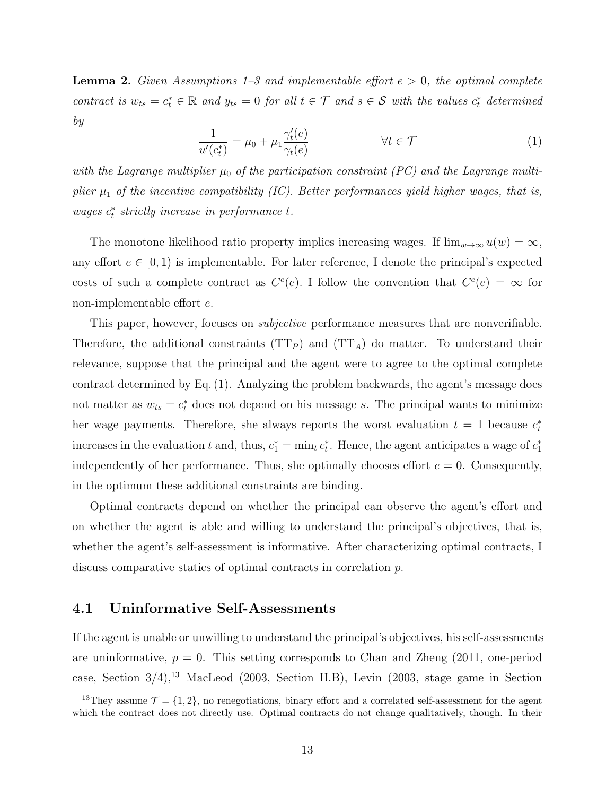**Lemma 2.** Given Assumptions 1–3 and implementable effort  $e > 0$ , the optimal complete contract is  $w_{ts} = c_t^* \in \mathbb{R}$  and  $y_{ts} = 0$  for all  $t \in \mathcal{T}$  and  $s \in \mathcal{S}$  with the values  $c_t^*$  determined by

$$
\frac{1}{u'(c_t^*)} = \mu_0 + \mu_1 \frac{\gamma_t'(e)}{\gamma_t(e)} \qquad \qquad \forall t \in \mathcal{T} \tag{1}
$$

with the Lagrange multiplier  $\mu_0$  of the participation constraint (PC) and the Lagrange multiplier  $\mu_1$  of the incentive compatibility (IC). Better performances yield higher wages, that is,  $\emph{wages $c_t^*$ strictly increase in performance $t$.}$ 

The monotone likelihood ratio property implies increasing wages. If  $\lim_{w\to\infty} u(w) = \infty$ , any effort  $e \in [0, 1)$  is implementable. For later reference, I denote the principal's expected costs of such a complete contract as  $C<sup>c</sup>(e)$ . I follow the convention that  $C<sup>c</sup>(e) = \infty$  for non-implementable effort e.

This paper, however, focuses on *subjective* performance measures that are nonverifiable. Therefore, the additional constraints  $(TT_P)$  and  $(TT_A)$  do matter. To understand their relevance, suppose that the principal and the agent were to agree to the optimal complete contract determined by Eq. (1). Analyzing the problem backwards, the agent's message does not matter as  $w_{ts} = c_t^*$  does not depend on his message s. The principal wants to minimize her wage payments. Therefore, she always reports the worst evaluation  $t = 1$  because  $c_t^*$ increases in the evaluation t and, thus,  $c_1^* = \min_t c_t^*$ . Hence, the agent anticipates a wage of  $c_1^*$ independently of her performance. Thus, she optimally chooses effort  $e = 0$ . Consequently, in the optimum these additional constraints are binding.

Optimal contracts depend on whether the principal can observe the agent's effort and on whether the agent is able and willing to understand the principal's objectives, that is, whether the agent's self-assessment is informative. After characterizing optimal contracts, I discuss comparative statics of optimal contracts in correlation p.

#### 4.1 Uninformative Self-Assessments

If the agent is unable or unwilling to understand the principal's objectives, his self-assessments are uninformative,  $p = 0$ . This setting corresponds to Chan and Zheng (2011, one-period case, Section  $3/4$ ,<sup>13</sup> MacLeod (2003, Section II.B), Levin (2003, stage game in Section

<sup>&</sup>lt;sup>13</sup>They assume  $\mathcal{T} = \{1, 2\}$ , no renegotiations, binary effort and a correlated self-assessment for the agent which the contract does not directly use. Optimal contracts do not change qualitatively, though. In their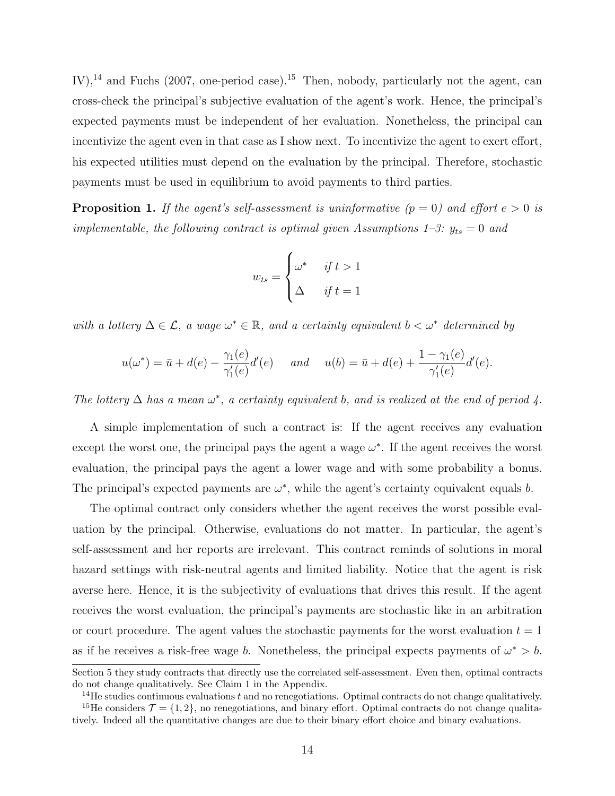IV),<sup>14</sup> and Fuchs (2007, one-period case).<sup>15</sup> Then, nobody, particularly not the agent, can cross-check the principal's subjective evaluation of the agent's work. Hence, the principal's expected payments must be independent of her evaluation. Nonetheless, the principal can incentivize the agent even in that case as I show next. To incentivize the agent to exert effort, his expected utilities must depend on the evaluation by the principal. Therefore, stochastic payments must be used in equilibrium to avoid payments to third parties.

**Proposition 1.** If the agent's self-assessment is uninformative  $(p = 0)$  and effort  $e > 0$  is implementable, the following contract is optimal given Assumptions 1–3:  $y_{ts} = 0$  and

$$
w_{ts} = \begin{cases} \omega^* & \text{if } t > 1 \\ \Delta & \text{if } t = 1 \end{cases}
$$

with a lottery  $\Delta \in \mathcal{L}$ , a wage  $\omega^* \in \mathbb{R}$ , and a certainty equivalent  $b < \omega^*$  determined by

$$
u(\omega^*) = \bar{u} + d(e) - \frac{\gamma_1(e)}{\gamma_1'(e)}d'(e) \quad \text{and} \quad u(b) = \bar{u} + d(e) + \frac{1 - \gamma_1(e)}{\gamma_1'(e)}d'(e).
$$

The lottery  $\Delta$  has a mean  $\omega^*$ , a certainty equivalent b, and is realized at the end of period 4.

A simple implementation of such a contract is: If the agent receives any evaluation except the worst one, the principal pays the agent a wage  $\omega^*$ . If the agent receives the worst evaluation, the principal pays the agent a lower wage and with some probability a bonus. The principal's expected payments are  $\omega^*$ , while the agent's certainty equivalent equals b.

The optimal contract only considers whether the agent receives the worst possible evaluation by the principal. Otherwise, evaluations do not matter. In particular, the agent's self-assessment and her reports are irrelevant. This contract reminds of solutions in moral hazard settings with risk-neutral agents and limited liability. Notice that the agent is risk averse here. Hence, it is the subjectivity of evaluations that drives this result. If the agent receives the worst evaluation, the principal's payments are stochastic like in an arbitration or court procedure. The agent values the stochastic payments for the worst evaluation  $t = 1$ as if he receives a risk-free wage b. Nonetheless, the principal expects payments of  $\omega^* > b$ .

Section 5 they study contracts that directly use the correlated self-assessment. Even then, optimal contracts do not change qualitatively. See Claim 1 in the Appendix.

 $14$ He studies continuous evaluations t and no renegotiations. Optimal contracts do not change qualitatively.

<sup>&</sup>lt;sup>15</sup>He considers  $\mathcal{T} = \{1, 2\}$ , no renegotiations, and binary effort. Optimal contracts do not change qualitatively. Indeed all the quantitative changes are due to their binary effort choice and binary evaluations.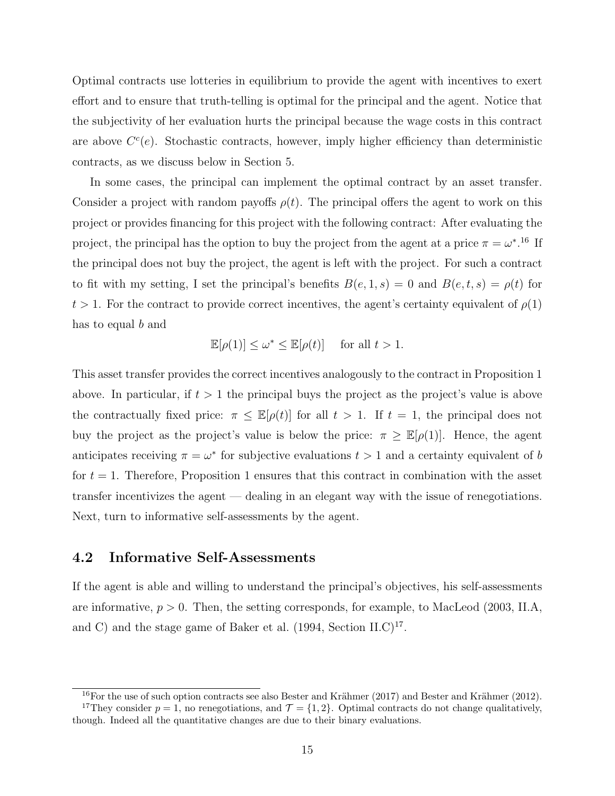Optimal contracts use lotteries in equilibrium to provide the agent with incentives to exert effort and to ensure that truth-telling is optimal for the principal and the agent. Notice that the subjectivity of her evaluation hurts the principal because the wage costs in this contract are above  $C<sup>c</sup>(e)$ . Stochastic contracts, however, imply higher efficiency than deterministic contracts, as we discuss below in Section 5.

In some cases, the principal can implement the optimal contract by an asset transfer. Consider a project with random payoffs  $\rho(t)$ . The principal offers the agent to work on this project or provides financing for this project with the following contract: After evaluating the project, the principal has the option to buy the project from the agent at a price  $\pi = \omega^*$ .<sup>16</sup> If the principal does not buy the project, the agent is left with the project. For such a contract to fit with my setting, I set the principal's benefits  $B(e, 1, s) = 0$  and  $B(e, t, s) = \rho(t)$  for  $t > 1$ . For the contract to provide correct incentives, the agent's certainty equivalent of  $\rho(1)$ has to equal b and

$$
\mathbb{E}[\rho(1)] \le \omega^* \le \mathbb{E}[\rho(t)] \quad \text{ for all } t > 1.
$$

This asset transfer provides the correct incentives analogously to the contract in Proposition 1 above. In particular, if  $t > 1$  the principal buys the project as the project's value is above the contractually fixed price:  $\pi \leq \mathbb{E}[\rho(t)]$  for all  $t > 1$ . If  $t = 1$ , the principal does not buy the project as the project's value is below the price:  $\pi \geq \mathbb{E}[\rho(1)]$ . Hence, the agent anticipates receiving  $\pi = \omega^*$  for subjective evaluations  $t > 1$  and a certainty equivalent of b for  $t = 1$ . Therefore, Proposition 1 ensures that this contract in combination with the asset transfer incentivizes the agent — dealing in an elegant way with the issue of renegotiations. Next, turn to informative self-assessments by the agent.

#### 4.2 Informative Self-Assessments

If the agent is able and willing to understand the principal's objectives, his self-assessments are informative,  $p > 0$ . Then, the setting corresponds, for example, to MacLeod (2003, II.A, and C) and the stage game of Baker et al.  $(1994, Section II.C)^{17}$ .

<sup>&</sup>lt;sup>16</sup>For the use of such option contracts see also Bester and Krähmer (2017) and Bester and Krähmer (2012). <sup>17</sup>They consider  $p = 1$ , no renegotiations, and  $\mathcal{T} = \{1, 2\}$ . Optimal contracts do not change qualitatively,

though. Indeed all the quantitative changes are due to their binary evaluations.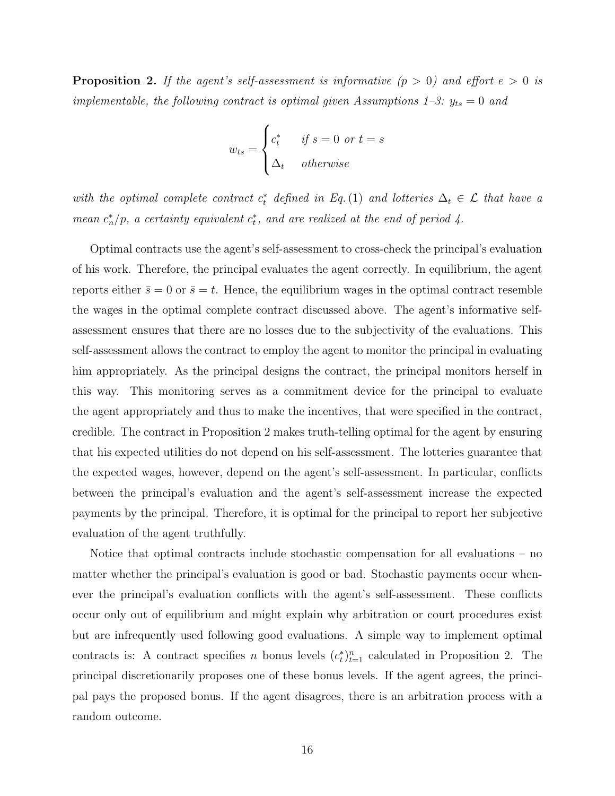**Proposition 2.** If the agent's self-assessment is informative  $(p > 0)$  and effort  $e > 0$  is implementable, the following contract is optimal given Assumptions 1–3:  $y_{ts} = 0$  and

$$
w_{ts} = \begin{cases} c_t^* & \text{if } s = 0 \text{ or } t = s \\ \Delta_t & \text{otherwise} \end{cases}
$$

with the optimal complete contract  $c_t^*$  defined in Eq.(1) and lotteries  $\Delta_t \in \mathcal{L}$  that have a mean  $c_n^*/p$ , a certainty equivalent  $c_t^*$ , and are realized at the end of period 4.

Optimal contracts use the agent's self-assessment to cross-check the principal's evaluation of his work. Therefore, the principal evaluates the agent correctly. In equilibrium, the agent reports either  $\bar{s} = 0$  or  $\bar{s} = t$ . Hence, the equilibrium wages in the optimal contract resemble the wages in the optimal complete contract discussed above. The agent's informative selfassessment ensures that there are no losses due to the subjectivity of the evaluations. This self-assessment allows the contract to employ the agent to monitor the principal in evaluating him appropriately. As the principal designs the contract, the principal monitors herself in this way. This monitoring serves as a commitment device for the principal to evaluate the agent appropriately and thus to make the incentives, that were specified in the contract, credible. The contract in Proposition 2 makes truth-telling optimal for the agent by ensuring that his expected utilities do not depend on his self-assessment. The lotteries guarantee that the expected wages, however, depend on the agent's self-assessment. In particular, conflicts between the principal's evaluation and the agent's self-assessment increase the expected payments by the principal. Therefore, it is optimal for the principal to report her subjective evaluation of the agent truthfully.

Notice that optimal contracts include stochastic compensation for all evaluations – no matter whether the principal's evaluation is good or bad. Stochastic payments occur whenever the principal's evaluation conflicts with the agent's self-assessment. These conflicts occur only out of equilibrium and might explain why arbitration or court procedures exist but are infrequently used following good evaluations. A simple way to implement optimal contracts is: A contract specifies n bonus levels  $(c_t^*)_{t=1}^n$  calculated in Proposition 2. The principal discretionarily proposes one of these bonus levels. If the agent agrees, the principal pays the proposed bonus. If the agent disagrees, there is an arbitration process with a random outcome.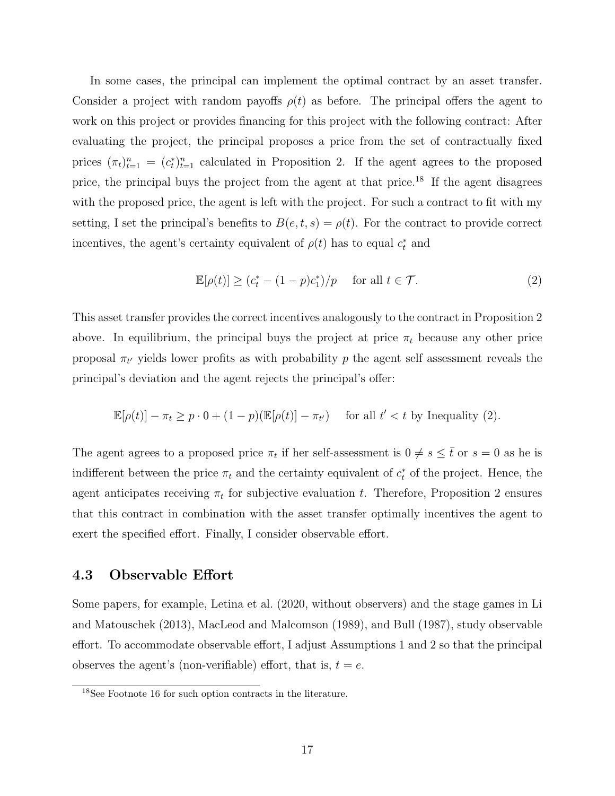In some cases, the principal can implement the optimal contract by an asset transfer. Consider a project with random payoffs  $\rho(t)$  as before. The principal offers the agent to work on this project or provides financing for this project with the following contract: After evaluating the project, the principal proposes a price from the set of contractually fixed prices  $(\pi_t)_{t=1}^n = (c_t^*)_{t=1}^n$  calculated in Proposition 2. If the agent agrees to the proposed price, the principal buys the project from the agent at that price.18 If the agent disagrees with the proposed price, the agent is left with the project. For such a contract to fit with my setting, I set the principal's benefits to  $B(e, t, s) = \rho(t)$ . For the contract to provide correct incentives, the agent's certainty equivalent of  $\rho(t)$  has to equal  $c_t^*$  and

$$
\mathbb{E}[\rho(t)] \ge (c_t^* - (1 - p)c_1^*)/p \quad \text{ for all } t \in \mathcal{T}.
$$
 (2)

This asset transfer provides the correct incentives analogously to the contract in Proposition 2 above. In equilibrium, the principal buys the project at price  $\pi_t$  because any other price proposal  $\pi_{t'}$  yields lower profits as with probability p the agent self assessment reveals the principal's deviation and the agent rejects the principal's offer:

$$
\mathbb{E}[\rho(t)] - \pi_t \ge p \cdot 0 + (1 - p)(\mathbb{E}[\rho(t)] - \pi_{t'}) \quad \text{ for all } t' < t \text{ by Inequality (2).}
$$

The agent agrees to a proposed price  $\pi_t$  if her self-assessment is  $0 \neq s \leq \overline{t}$  or  $s = 0$  as he is indifferent between the price  $\pi_t$  and the certainty equivalent of  $c_t^*$  of the project. Hence, the agent anticipates receiving  $\pi_t$  for subjective evaluation t. Therefore, Proposition 2 ensures that this contract in combination with the asset transfer optimally incentives the agent to exert the specified effort. Finally, I consider observable effort.

#### 4.3 Observable Effort

Some papers, for example, Letina et al. (2020, without observers) and the stage games in Li and Matouschek (2013), MacLeod and Malcomson (1989), and Bull (1987), study observable effort. To accommodate observable effort, I adjust Assumptions 1 and 2 so that the principal observes the agent's (non-verifiable) effort, that is,  $t = e$ .

<sup>18</sup>See Footnote 16 for such option contracts in the literature.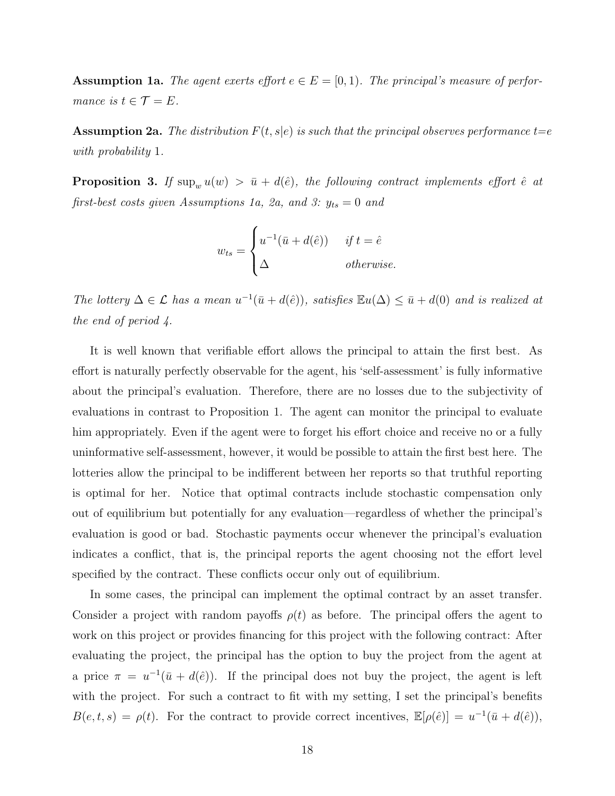**Assumption 1a.** The agent exerts effort  $e \in E = [0, 1)$ . The principal's measure of performance is  $t \in \mathcal{T} = E$ .

**Assumption 2a.** The distribution  $F(t, s|e)$  is such that the principal observes performance  $t=e$ with probability 1.

**Proposition 3.** If  $\sup_w u(w) > \bar{u} + d(\hat{e})$ , the following contract implements effort  $\hat{e}$  at first-best costs given Assumptions 1a, 2a, and 3:  $y_{ts} = 0$  and

$$
w_{ts} = \begin{cases} u^{-1}(\bar{u} + d(\hat{e})) & \text{if } t = \hat{e} \\ \Delta & \text{otherwise.} \end{cases}
$$

The lottery  $\Delta \in \mathcal{L}$  has a mean  $u^{-1}(\bar{u} + d(\hat{e}))$ , satisfies  $\mathbb{E}u(\Delta) \leq \bar{u} + d(0)$  and is realized at the end of period 4.

It is well known that verifiable effort allows the principal to attain the first best. As effort is naturally perfectly observable for the agent, his 'self-assessment' is fully informative about the principal's evaluation. Therefore, there are no losses due to the subjectivity of evaluations in contrast to Proposition 1. The agent can monitor the principal to evaluate him appropriately. Even if the agent were to forget his effort choice and receive no or a fully uninformative self-assessment, however, it would be possible to attain the first best here. The lotteries allow the principal to be indifferent between her reports so that truthful reporting is optimal for her. Notice that optimal contracts include stochastic compensation only out of equilibrium but potentially for any evaluation—regardless of whether the principal's evaluation is good or bad. Stochastic payments occur whenever the principal's evaluation indicates a conflict, that is, the principal reports the agent choosing not the effort level specified by the contract. These conflicts occur only out of equilibrium.

In some cases, the principal can implement the optimal contract by an asset transfer. Consider a project with random payoffs  $\rho(t)$  as before. The principal offers the agent to work on this project or provides financing for this project with the following contract: After evaluating the project, the principal has the option to buy the project from the agent at a price  $\pi = u^{-1}(\bar{u} + d(\hat{e}))$ . If the principal does not buy the project, the agent is left with the project. For such a contract to fit with my setting, I set the principal's benefits  $B(e, t, s) = \rho(t)$ . For the contract to provide correct incentives,  $\mathbb{E}[\rho(\hat{e})] = u^{-1}(\bar{u} + d(\hat{e}))$ ,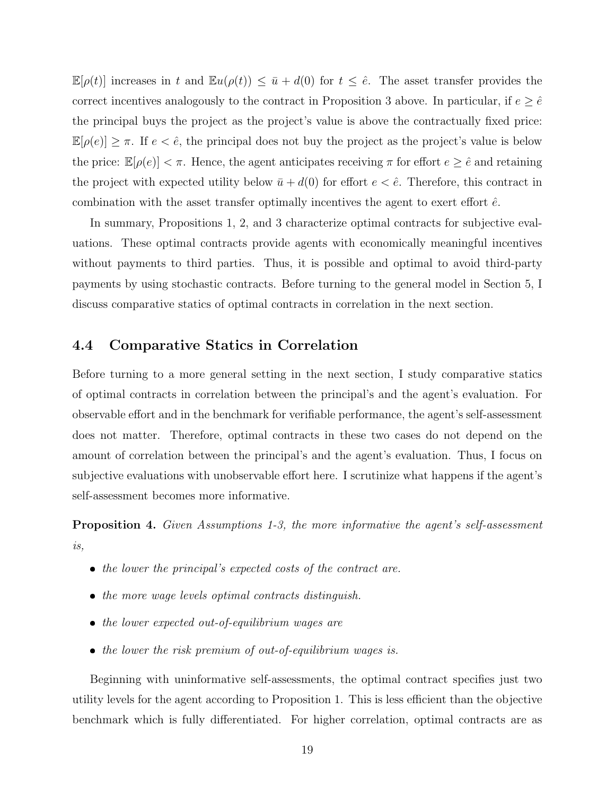$\mathbb{E}[\rho(t)]$  increases in t and  $\mathbb{E}u(\rho(t)) \leq \bar{u} + d(0)$  for  $t \leq \hat{e}$ . The asset transfer provides the correct incentives analogously to the contract in Proposition 3 above. In particular, if  $e \ge \hat{e}$ the principal buys the project as the project's value is above the contractually fixed price:  $\mathbb{E}[\rho(e)] \geq \pi$ . If  $e < \hat{e}$ , the principal does not buy the project as the project's value is below the price:  $\mathbb{E}[\rho(e)] < \pi$ . Hence, the agent anticipates receiving  $\pi$  for effort  $e \geq \hat{e}$  and retaining the project with expected utility below  $\bar{u} + d(0)$  for effort  $e < \hat{e}$ . Therefore, this contract in combination with the asset transfer optimally incentives the agent to exert effort  $\hat{e}$ .

In summary, Propositions 1, 2, and 3 characterize optimal contracts for subjective evaluations. These optimal contracts provide agents with economically meaningful incentives without payments to third parties. Thus, it is possible and optimal to avoid third-party payments by using stochastic contracts. Before turning to the general model in Section 5, I discuss comparative statics of optimal contracts in correlation in the next section.

#### 4.4 Comparative Statics in Correlation

Before turning to a more general setting in the next section, I study comparative statics of optimal contracts in correlation between the principal's and the agent's evaluation. For observable effort and in the benchmark for verifiable performance, the agent's self-assessment does not matter. Therefore, optimal contracts in these two cases do not depend on the amount of correlation between the principal's and the agent's evaluation. Thus, I focus on subjective evaluations with unobservable effort here. I scrutinize what happens if the agent's self-assessment becomes more informative.

Proposition 4. Given Assumptions 1-3, the more informative the agent's self-assessment is,

- the lower the principal's expected costs of the contract are.
- the more wage levels optimal contracts distinguish.
- the lower expected out-of-equilibrium wages are
- the lower the risk premium of out-of-equilibrium wages is.

Beginning with uninformative self-assessments, the optimal contract specifies just two utility levels for the agent according to Proposition 1. This is less efficient than the objective benchmark which is fully differentiated. For higher correlation, optimal contracts are as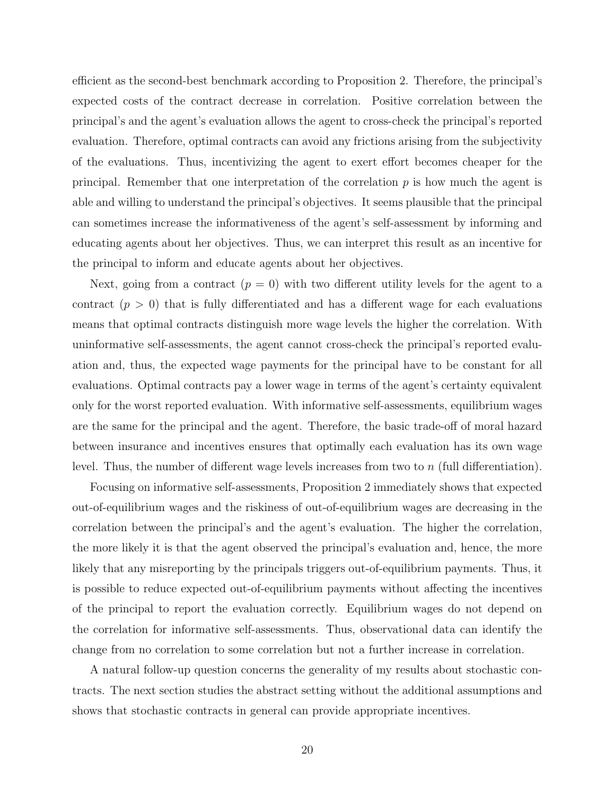efficient as the second-best benchmark according to Proposition 2. Therefore, the principal's expected costs of the contract decrease in correlation. Positive correlation between the principal's and the agent's evaluation allows the agent to cross-check the principal's reported evaluation. Therefore, optimal contracts can avoid any frictions arising from the subjectivity of the evaluations. Thus, incentivizing the agent to exert effort becomes cheaper for the principal. Remember that one interpretation of the correlation  $p$  is how much the agent is able and willing to understand the principal's objectives. It seems plausible that the principal can sometimes increase the informativeness of the agent's self-assessment by informing and educating agents about her objectives. Thus, we can interpret this result as an incentive for the principal to inform and educate agents about her objectives.

Next, going from a contract  $(p = 0)$  with two different utility levels for the agent to a contract  $(p > 0)$  that is fully differentiated and has a different wage for each evaluations means that optimal contracts distinguish more wage levels the higher the correlation. With uninformative self-assessments, the agent cannot cross-check the principal's reported evaluation and, thus, the expected wage payments for the principal have to be constant for all evaluations. Optimal contracts pay a lower wage in terms of the agent's certainty equivalent only for the worst reported evaluation. With informative self-assessments, equilibrium wages are the same for the principal and the agent. Therefore, the basic trade-off of moral hazard between insurance and incentives ensures that optimally each evaluation has its own wage level. Thus, the number of different wage levels increases from two to  $n$  (full differentiation).

Focusing on informative self-assessments, Proposition 2 immediately shows that expected out-of-equilibrium wages and the riskiness of out-of-equilibrium wages are decreasing in the correlation between the principal's and the agent's evaluation. The higher the correlation, the more likely it is that the agent observed the principal's evaluation and, hence, the more likely that any misreporting by the principals triggers out-of-equilibrium payments. Thus, it is possible to reduce expected out-of-equilibrium payments without affecting the incentives of the principal to report the evaluation correctly. Equilibrium wages do not depend on the correlation for informative self-assessments. Thus, observational data can identify the change from no correlation to some correlation but not a further increase in correlation.

A natural follow-up question concerns the generality of my results about stochastic contracts. The next section studies the abstract setting without the additional assumptions and shows that stochastic contracts in general can provide appropriate incentives.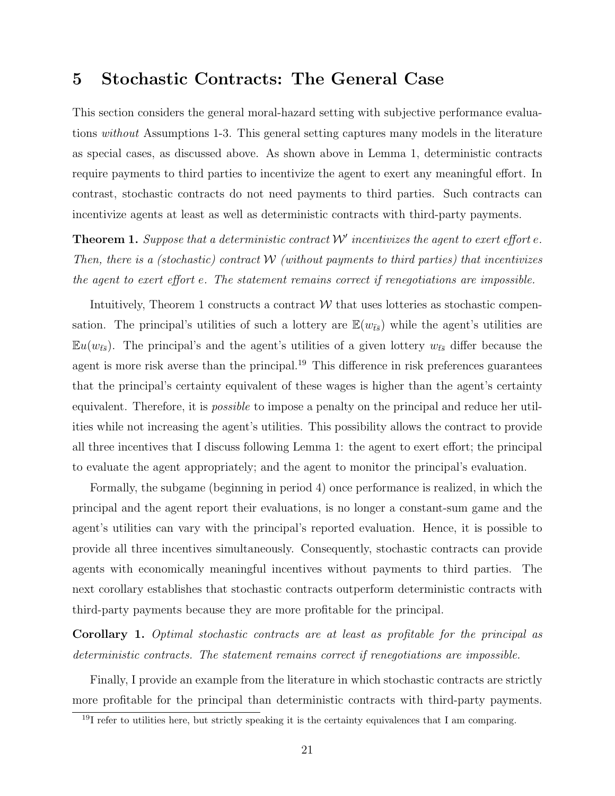# 5 Stochastic Contracts: The General Case

This section considers the general moral-hazard setting with subjective performance evaluations without Assumptions 1-3. This general setting captures many models in the literature as special cases, as discussed above. As shown above in Lemma 1, deterministic contracts require payments to third parties to incentivize the agent to exert any meaningful effort. In contrast, stochastic contracts do not need payments to third parties. Such contracts can incentivize agents at least as well as deterministic contracts with third-party payments.

**Theorem 1.** Suppose that a deterministic contract  $W'$  incentivizes the agent to exert effort e. Then, there is a (stochastic) contract  $W$  (without payments to third parties) that incentivizes the agent to exert effort e. The statement remains correct if renegotiations are impossible.

Intuitively, Theorem 1 constructs a contract  $W$  that uses lotteries as stochastic compensation. The principal's utilities of such a lottery are  $\mathbb{E}(w_{\bar{t}\bar{s}})$  while the agent's utilities are  $\mathbb{E}u(w_{\bar{t}\bar{s}})$ . The principal's and the agent's utilities of a given lottery  $w_{\bar{t}\bar{s}}$  differ because the agent is more risk averse than the principal.<sup>19</sup> This difference in risk preferences guarantees that the principal's certainty equivalent of these wages is higher than the agent's certainty equivalent. Therefore, it is *possible* to impose a penalty on the principal and reduce her utilities while not increasing the agent's utilities. This possibility allows the contract to provide all three incentives that I discuss following Lemma 1: the agent to exert effort; the principal to evaluate the agent appropriately; and the agent to monitor the principal's evaluation.

Formally, the subgame (beginning in period 4) once performance is realized, in which the principal and the agent report their evaluations, is no longer a constant-sum game and the agent's utilities can vary with the principal's reported evaluation. Hence, it is possible to provide all three incentives simultaneously. Consequently, stochastic contracts can provide agents with economically meaningful incentives without payments to third parties. The next corollary establishes that stochastic contracts outperform deterministic contracts with third-party payments because they are more profitable for the principal.

Corollary 1. Optimal stochastic contracts are at least as profitable for the principal as deterministic contracts. The statement remains correct if renegotiations are impossible.

Finally, I provide an example from the literature in which stochastic contracts are strictly more profitable for the principal than deterministic contracts with third-party payments.

 $19I$  refer to utilities here, but strictly speaking it is the certainty equivalences that I am comparing.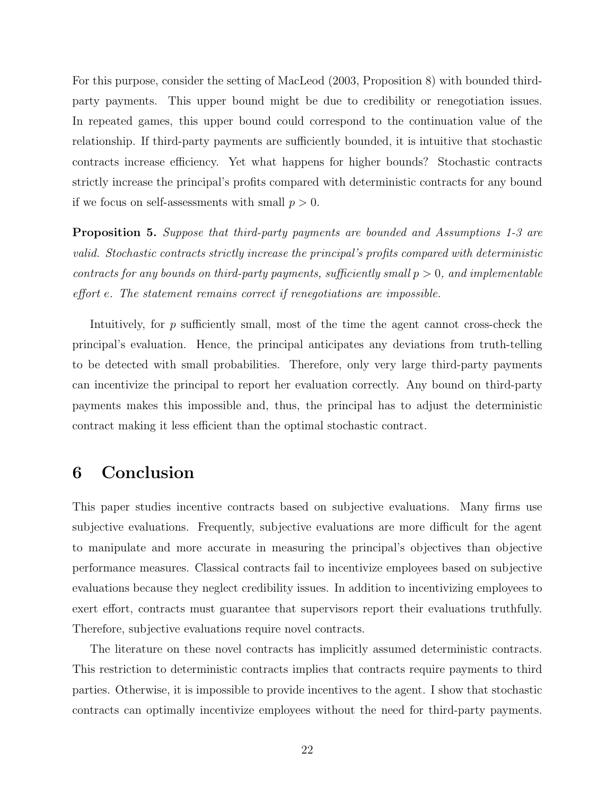For this purpose, consider the setting of MacLeod (2003, Proposition 8) with bounded thirdparty payments. This upper bound might be due to credibility or renegotiation issues. In repeated games, this upper bound could correspond to the continuation value of the relationship. If third-party payments are sufficiently bounded, it is intuitive that stochastic contracts increase efficiency. Yet what happens for higher bounds? Stochastic contracts strictly increase the principal's profits compared with deterministic contracts for any bound if we focus on self-assessments with small  $p > 0$ .

Proposition 5. Suppose that third-party payments are bounded and Assumptions 1-3 are valid. Stochastic contracts strictly increase the principal's profits compared with deterministic contracts for any bounds on third-party payments, sufficiently small  $p > 0$ , and implementable effort e. The statement remains correct if renegotiations are impossible.

Intuitively, for p sufficiently small, most of the time the agent cannot cross-check the principal's evaluation. Hence, the principal anticipates any deviations from truth-telling to be detected with small probabilities. Therefore, only very large third-party payments can incentivize the principal to report her evaluation correctly. Any bound on third-party payments makes this impossible and, thus, the principal has to adjust the deterministic contract making it less efficient than the optimal stochastic contract.

# 6 Conclusion

This paper studies incentive contracts based on subjective evaluations. Many firms use subjective evaluations. Frequently, subjective evaluations are more difficult for the agent to manipulate and more accurate in measuring the principal's objectives than objective performance measures. Classical contracts fail to incentivize employees based on subjective evaluations because they neglect credibility issues. In addition to incentivizing employees to exert effort, contracts must guarantee that supervisors report their evaluations truthfully. Therefore, subjective evaluations require novel contracts.

The literature on these novel contracts has implicitly assumed deterministic contracts. This restriction to deterministic contracts implies that contracts require payments to third parties. Otherwise, it is impossible to provide incentives to the agent. I show that stochastic contracts can optimally incentivize employees without the need for third-party payments.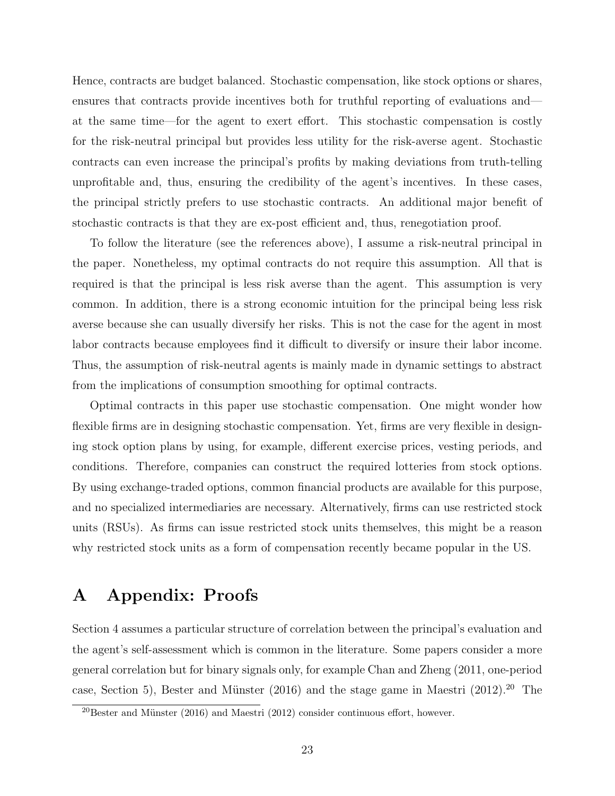Hence, contracts are budget balanced. Stochastic compensation, like stock options or shares, ensures that contracts provide incentives both for truthful reporting of evaluations and at the same time—for the agent to exert effort. This stochastic compensation is costly for the risk-neutral principal but provides less utility for the risk-averse agent. Stochastic contracts can even increase the principal's profits by making deviations from truth-telling unprofitable and, thus, ensuring the credibility of the agent's incentives. In these cases, the principal strictly prefers to use stochastic contracts. An additional major benefit of stochastic contracts is that they are ex-post efficient and, thus, renegotiation proof.

To follow the literature (see the references above), I assume a risk-neutral principal in the paper. Nonetheless, my optimal contracts do not require this assumption. All that is required is that the principal is less risk averse than the agent. This assumption is very common. In addition, there is a strong economic intuition for the principal being less risk averse because she can usually diversify her risks. This is not the case for the agent in most labor contracts because employees find it difficult to diversify or insure their labor income. Thus, the assumption of risk-neutral agents is mainly made in dynamic settings to abstract from the implications of consumption smoothing for optimal contracts.

Optimal contracts in this paper use stochastic compensation. One might wonder how flexible firms are in designing stochastic compensation. Yet, firms are very flexible in designing stock option plans by using, for example, different exercise prices, vesting periods, and conditions. Therefore, companies can construct the required lotteries from stock options. By using exchange-traded options, common financial products are available for this purpose, and no specialized intermediaries are necessary. Alternatively, firms can use restricted stock units (RSUs). As firms can issue restricted stock units themselves, this might be a reason why restricted stock units as a form of compensation recently became popular in the US.

# A Appendix: Proofs

Section 4 assumes a particular structure of correlation between the principal's evaluation and the agent's self-assessment which is common in the literature. Some papers consider a more general correlation but for binary signals only, for example Chan and Zheng (2011, one-period case, Section 5), Bester and Münster  $(2016)$  and the stage game in Maestri  $(2012).^{20}$  The

 $^{20}$ Bester and Münster (2016) and Maestri (2012) consider continuous effort, however.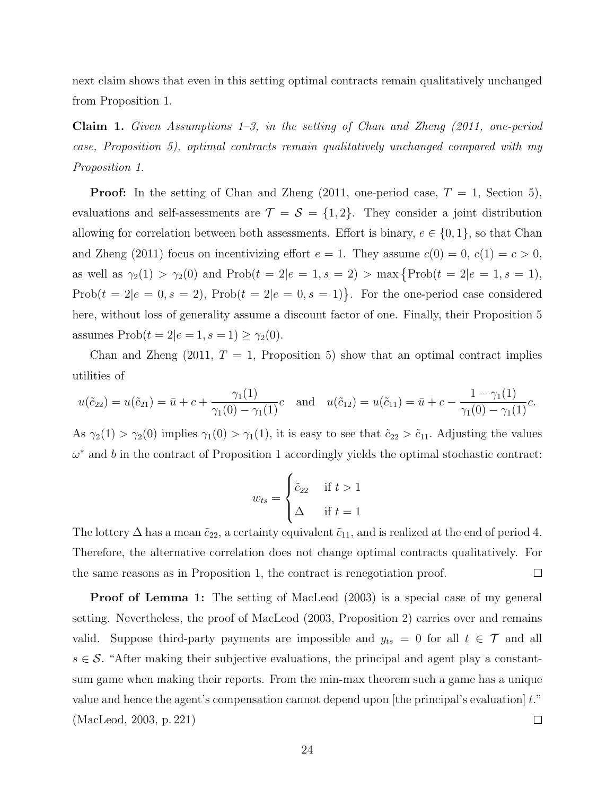next claim shows that even in this setting optimal contracts remain qualitatively unchanged from Proposition 1.

**Claim 1.** Given Assumptions  $1-\overline{3}$ , in the setting of Chan and Zheng (2011, one-period case, Proposition 5), optimal contracts remain qualitatively unchanged compared with my Proposition 1.

**Proof:** In the setting of Chan and Zheng  $(2011, \text{ one-period case}, T = 1, \text{ Section 5}),$ evaluations and self-assessments are  $\mathcal{T} = \mathcal{S} = \{1, 2\}$ . They consider a joint distribution allowing for correlation between both assessments. Effort is binary,  $e \in \{0, 1\}$ , so that Chan and Zheng (2011) focus on incentivizing effort  $e = 1$ . They assume  $c(0) = 0$ ,  $c(1) = c > 0$ , as well as  $\gamma_2(1) > \gamma_2(0)$  and  $\text{Prob}(t = 2|e = 1, s = 2) > \max\{\text{Prob}(t = 2|e = 1, s = 1),\}$ Prob $(t = 2|e = 0, s = 2)$ , Prob $(t = 2|e = 0, s = 1)$ . For the one-period case considered here, without loss of generality assume a discount factor of one. Finally, their Proposition 5 assumes  $\text{Prob}(t = 2|e = 1, s = 1) \geq \gamma_2(0).$ 

Chan and Zheng  $(2011, T = 1,$  Proposition 5) show that an optimal contract implies utilities of

$$
u(\tilde{c}_{22}) = u(\tilde{c}_{21}) = \bar{u} + c + \frac{\gamma_1(1)}{\gamma_1(0) - \gamma_1(1)}c \quad \text{and} \quad u(\tilde{c}_{12}) = u(\tilde{c}_{11}) = \bar{u} + c - \frac{1 - \gamma_1(1)}{\gamma_1(0) - \gamma_1(1)}c.
$$

As  $\gamma_2(1) > \gamma_2(0)$  implies  $\gamma_1(0) > \gamma_1(1)$ , it is easy to see that  $\tilde{c}_{22} > \tilde{c}_{11}$ . Adjusting the values  $\omega^*$  and b in the contract of Proposition 1 accordingly yields the optimal stochastic contract:

$$
w_{ts} = \begin{cases} \tilde{c}_{22} & \text{if } t > 1 \\ \Delta & \text{if } t = 1 \end{cases}
$$

The lottery  $\Delta$  has a mean  $\tilde{c}_{22}$ , a certainty equivalent  $\tilde{c}_{11}$ , and is realized at the end of period 4. Therefore, the alternative correlation does not change optimal contracts qualitatively. For the same reasons as in Proposition 1, the contract is renegotiation proof.  $\Box$ 

**Proof of Lemma 1:** The setting of MacLeod (2003) is a special case of my general setting. Nevertheless, the proof of MacLeod (2003, Proposition 2) carries over and remains valid. Suppose third-party payments are impossible and  $y_{ts} = 0$  for all  $t \in \mathcal{T}$  and all  $s \in \mathcal{S}$ . "After making their subjective evaluations, the principal and agent play a constantsum game when making their reports. From the min-max theorem such a game has a unique value and hence the agent's compensation cannot depend upon [the principal's evaluation] t." (MacLeod, 2003, p. 221)  $\Box$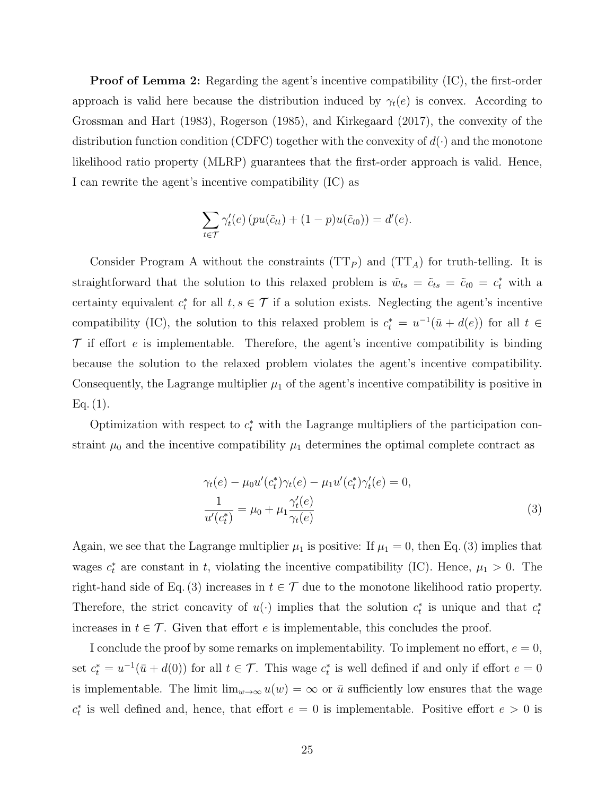**Proof of Lemma 2:** Regarding the agent's incentive compatibility (IC), the first-order approach is valid here because the distribution induced by  $\gamma_t(e)$  is convex. According to Grossman and Hart (1983), Rogerson (1985), and Kirkegaard (2017), the convexity of the distribution function condition (CDFC) together with the convexity of  $d(\cdot)$  and the monotone likelihood ratio property (MLRP) guarantees that the first-order approach is valid. Hence, I can rewrite the agent's incentive compatibility (IC) as

$$
\sum_{t \in \mathcal{T}} \gamma'_t(e) \left( pu(\tilde{c}_{tt}) + (1 - p)u(\tilde{c}_{t0}) \right) = d'(e).
$$

Consider Program A without the constraints  $(TT_P)$  and  $(TT_A)$  for truth-telling. It is straightforward that the solution to this relaxed problem is  $\tilde{w}_{ts} = \tilde{c}_{ts} = \tilde{c}_{t0} = c_t^*$  with a certainty equivalent  $c_t^*$  for all  $t, s \in \mathcal{T}$  if a solution exists. Neglecting the agent's incentive compatibility (IC), the solution to this relaxed problem is  $c_t^* = u^{-1}(\bar{u} + d(e))$  for all  $t \in$  $\mathcal T$  if effort e is implementable. Therefore, the agent's incentive compatibility is binding because the solution to the relaxed problem violates the agent's incentive compatibility. Consequently, the Lagrange multiplier  $\mu_1$  of the agent's incentive compatibility is positive in  $Eq. (1).$ 

Optimization with respect to  $c_t^*$  with the Lagrange multipliers of the participation constraint  $\mu_0$  and the incentive compatibility  $\mu_1$  determines the optimal complete contract as

$$
\gamma_t(e) - \mu_0 u'(c_t^*) \gamma_t(e) - \mu_1 u'(c_t^*) \gamma_t'(e) = 0,
$$
  
\n
$$
\frac{1}{u'(c_t^*)} = \mu_0 + \mu_1 \frac{\gamma_t'(e)}{\gamma_t(e)}
$$
\n(3)

Again, we see that the Lagrange multiplier  $\mu_1$  is positive: If  $\mu_1 = 0$ , then Eq. (3) implies that wages  $c_t^*$  are constant in t, violating the incentive compatibility (IC). Hence,  $\mu_1 > 0$ . The right-hand side of Eq. (3) increases in  $t \in \mathcal{T}$  due to the monotone likelihood ratio property. Therefore, the strict concavity of  $u(\cdot)$  implies that the solution  $c_t^*$  is unique and that  $c_t^*$ increases in  $t \in \mathcal{T}$ . Given that effort e is implementable, this concludes the proof.

I conclude the proof by some remarks on implementability. To implement no effort,  $e = 0$ , set  $c_t^* = u^{-1}(\bar{u} + d(0))$  for all  $t \in \mathcal{T}$ . This wage  $c_t^*$  is well defined if and only if effort  $e = 0$ is implementable. The limit  $\lim_{w\to\infty} u(w) = \infty$  or  $\bar{u}$  sufficiently low ensures that the wage  $c_t^*$  is well defined and, hence, that effort  $e = 0$  is implementable. Positive effort  $e > 0$  is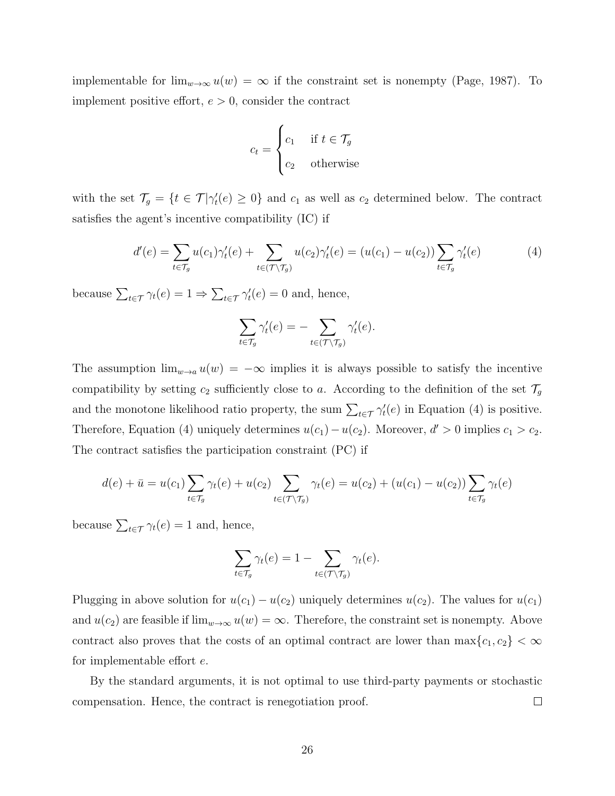implementable for  $\lim_{w\to\infty}u(w) = \infty$  if the constraint set is nonempty (Page, 1987). To implement positive effort,  $e > 0$ , consider the contract

$$
c_t = \begin{cases} c_1 & \text{if } t \in \mathcal{T}_g \\ c_2 & \text{otherwise} \end{cases}
$$

with the set  $\mathcal{T}_g = \{t \in \mathcal{T} | \gamma_t'(e) \geq 0\}$  and  $c_1$  as well as  $c_2$  determined below. The contract satisfies the agent's incentive compatibility (IC) if

$$
d'(e) = \sum_{t \in \mathcal{T}_g} u(c_1) \gamma'_t(e) + \sum_{t \in (\mathcal{T} \setminus \mathcal{T}_g)} u(c_2) \gamma'_t(e) = (u(c_1) - u(c_2)) \sum_{t \in \mathcal{T}_g} \gamma'_t(e) \tag{4}
$$

because  $\sum_{t \in \mathcal{T}} \gamma_t(e) = 1 \Rightarrow \sum_{t \in \mathcal{T}} \gamma_t'(e) = 0$  and, hence,

$$
\sum_{t \in \mathcal{T}_g} \gamma'_t(e) = - \sum_{t \in (\mathcal{T} \setminus \mathcal{T}_g)} \gamma'_t(e).
$$

The assumption  $\lim_{w\to a} u(w) = -\infty$  implies it is always possible to satisfy the incentive compatibility by setting  $c_2$  sufficiently close to a. According to the definition of the set  $\mathcal{T}_g$ and the monotone likelihood ratio property, the sum  $\sum_{t \in \mathcal{T}} \gamma_t'(e)$  in Equation (4) is positive. Therefore, Equation (4) uniquely determines  $u(c_1) - u(c_2)$ . Moreover,  $d' > 0$  implies  $c_1 > c_2$ . The contract satisfies the participation constraint (PC) if

$$
d(e) + \bar{u} = u(c_1) \sum_{t \in \mathcal{T}_g} \gamma_t(e) + u(c_2) \sum_{t \in (\mathcal{T} \setminus \mathcal{T}_g)} \gamma_t(e) = u(c_2) + (u(c_1) - u(c_2)) \sum_{t \in \mathcal{T}_g} \gamma_t(e)
$$

because  $\sum_{t \in \mathcal{T}} \gamma_t(e) = 1$  and, hence,

$$
\sum_{t \in \mathcal{T}_g} \gamma_t(e) = 1 - \sum_{t \in (\mathcal{T} \setminus \mathcal{T}_g)} \gamma_t(e).
$$

Plugging in above solution for  $u(c_1) - u(c_2)$  uniquely determines  $u(c_2)$ . The values for  $u(c_1)$ and  $u(c_2)$  are feasible if  $\lim_{w\to\infty}u(w)=\infty$ . Therefore, the constraint set is nonempty. Above contract also proves that the costs of an optimal contract are lower than  $\max\{c_1, c_2\} < \infty$ for implementable effort e.

By the standard arguments, it is not optimal to use third-party payments or stochastic compensation. Hence, the contract is renegotiation proof.  $\Box$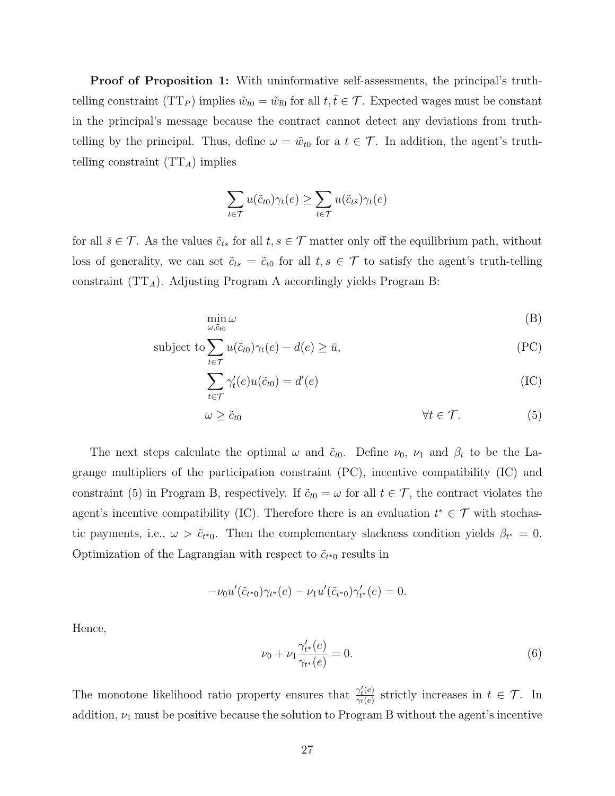Proof of Proposition 1: With uninformative self-assessments, the principal's truthtelling constraint (TT<sub>P</sub>) implies  $\tilde{w}_{t0} = \tilde{w}_{\bar{t}0}$  for all  $t, \bar{t} \in \mathcal{T}$ . Expected wages must be constant in the principal's message because the contract cannot detect any deviations from truthtelling by the principal. Thus, define  $\omega = \tilde{w}_{t0}$  for a  $t \in \mathcal{T}$ . In addition, the agent's truthtelling constraint  $(TT_A)$  implies

$$
\sum_{t \in \mathcal{T}} u(\tilde{c}_{t0}) \gamma_t(e) \ge \sum_{t \in \mathcal{T}} u(\tilde{c}_{t\bar{s}}) \gamma_t(e)
$$

for all  $\bar{s} \in \mathcal{T}$ . As the values  $\tilde{c}_{ts}$  for all  $t, s \in \mathcal{T}$  matter only off the equilibrium path, without loss of generality, we can set  $\tilde{c}_{ts} = \tilde{c}_{t0}$  for all  $t, s \in \mathcal{T}$  to satisfy the agent's truth-telling constraint  $(TT_A)$ . Adjusting Program A accordingly yields Program B:

$$
\min_{\omega,\tilde{c}_{t0}}\omega\tag{B}
$$

subject to 
$$
\sum_{t \in \mathcal{T}} u(\tilde{c}_{t0}) \gamma_t(e) - d(e) \ge \bar{u}, \tag{PC}
$$

$$
\sum_{t \in \mathcal{T}} \gamma'_t(e) u(\tilde{c}_{t0}) = d'(e) \tag{IC}
$$

$$
\omega \geq \tilde{c}_{t0} \qquad \qquad \forall t \in \mathcal{T}.\tag{5}
$$

The next steps calculate the optimal  $\omega$  and  $\tilde{c}_{t0}$ . Define  $\nu_0$ ,  $\nu_1$  and  $\beta_t$  to be the Lagrange multipliers of the participation constraint (PC), incentive compatibility (IC) and constraint (5) in Program B, respectively. If  $\tilde{c}_{t0} = \omega$  for all  $t \in \mathcal{T}$ , the contract violates the agent's incentive compatibility (IC). Therefore there is an evaluation  $t^* \in \mathcal{T}$  with stochastic payments, i.e.,  $\omega > \tilde{c}_{t*0}$ . Then the complementary slackness condition yields  $\beta_{t*} = 0$ . Optimization of the Lagrangian with respect to  $\tilde{c}_{t*0}$  results in

$$
-\nu_0 u'(\tilde{c}_{t^*0})\gamma_{t^*}(e) - \nu_1 u'(\tilde{c}_{t^*0})\gamma'_{t^*}(e) = 0.
$$

Hence,

$$
\nu_0 + \nu_1 \frac{\gamma_{t^*}'(e)}{\gamma_{t^*}(e)} = 0. \tag{6}
$$

The monotone likelihood ratio property ensures that  $\frac{\gamma'_t(e)}{\gamma_t(e)}$  $\frac{\gamma_t(e)}{\gamma_t(e)}$  strictly increases in  $t \in \mathcal{T}$ . In addition,  $\nu_1$  must be positive because the solution to Program B without the agent's incentive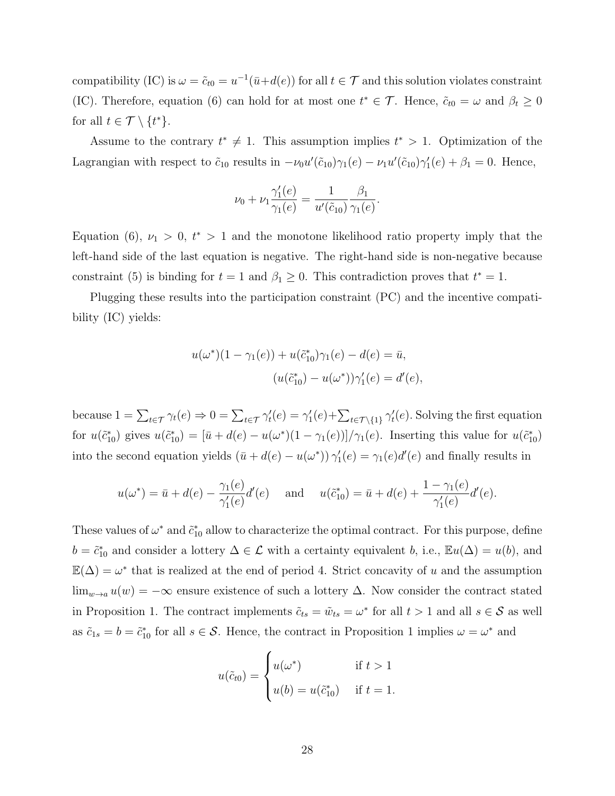compatibility (IC) is  $\omega = \tilde{c}_{t0} = u^{-1}(\bar{u} + d(e))$  for all  $t \in \mathcal{T}$  and this solution violates constraint (IC). Therefore, equation (6) can hold for at most one  $t^* \in \mathcal{T}$ . Hence,  $\tilde{c}_{t0} = \omega$  and  $\beta_t \geq 0$ for all  $t \in \mathcal{T} \setminus \{t^*\}.$ 

Assume to the contrary  $t^* \neq 1$ . This assumption implies  $t^* > 1$ . Optimization of the Lagrangian with respect to  $\tilde{c}_{10}$  results in  $-\nu_0 u'(\tilde{c}_{10})\gamma_1(e) - \nu_1 u'(\tilde{c}_{10})\gamma'_1(e) + \beta_1 = 0$ . Hence,

$$
\nu_0 + \nu_1 \frac{\gamma'_1(e)}{\gamma_1(e)} = \frac{1}{u'(\tilde{c}_{10})} \frac{\beta_1}{\gamma_1(e)}.
$$

Equation (6),  $\nu_1 > 0$ ,  $t^* > 1$  and the monotone likelihood ratio property imply that the left-hand side of the last equation is negative. The right-hand side is non-negative because constraint (5) is binding for  $t = 1$  and  $\beta_1 \geq 0$ . This contradiction proves that  $t^* = 1$ .

Plugging these results into the participation constraint (PC) and the incentive compatibility (IC) yields:

$$
u(\omega^*)(1 - \gamma_1(e)) + u(\tilde{c}_{10}^*)\gamma_1(e) - d(e) = \bar{u},
$$
  

$$
(u(\tilde{c}_{10}^*) - u(\omega^*))\gamma_1'(e) = d'(e),
$$

because  $1 = \sum_{t \in \mathcal{T}} \gamma_t(e) \Rightarrow 0 = \sum_{t \in \mathcal{T}} \gamma_t'(e) = \gamma_1'(e) + \sum_{t \in \mathcal{T} \setminus \{1\}} \gamma_t'(e)$ . Solving the first equation for  $u(\tilde{c}_{10}^*)$  gives  $u(\tilde{c}_{10}^*) = [\bar{u} + d(e) - u(\omega^*)(1 - \gamma_1(e))] / \gamma_1(e)$ . Inserting this value for  $u(\tilde{c}_{10}^*)$ into the second equation yields  $(\bar{u} + d(e) - u(\omega^*)) \gamma'_1(e) = \gamma_1(e)d'(e)$  and finally results in

$$
u(\omega^*) = \bar{u} + d(e) - \frac{\gamma_1(e)}{\gamma_1'(e)}d'(e) \quad \text{and} \quad u(\tilde{c}_{10}^*) = \bar{u} + d(e) + \frac{1 - \gamma_1(e)}{\gamma_1'(e)}d'(e).
$$

These values of  $\omega^*$  and  $\tilde{c}_{10}^*$  allow to characterize the optimal contract. For this purpose, define  $b = \tilde{c}_{10}^*$  and consider a lottery  $\Delta \in \mathcal{L}$  with a certainty equivalent b, i.e.,  $\mathbb{E}u(\Delta) = u(b)$ , and  $\mathbb{E}(\Delta) = \omega^*$  that is realized at the end of period 4. Strict concavity of u and the assumption lim<sub>w→a</sub>  $u(w) = -\infty$  ensure existence of such a lottery  $\Delta$ . Now consider the contract stated in Proposition 1. The contract implements  $\tilde{c}_{ts} = \tilde{w}_{ts} = \omega^*$  for all  $t > 1$  and all  $s \in S$  as well as  $\tilde{c}_{1s} = b = \tilde{c}_{10}^*$  for all  $s \in \mathcal{S}$ . Hence, the contract in Proposition 1 implies  $\omega = \omega^*$  and

$$
u(\tilde{c}_{t0}) = \begin{cases} u(\omega^*) & \text{if } t > 1\\ u(b) = u(\tilde{c}_{10}^*) & \text{if } t = 1. \end{cases}
$$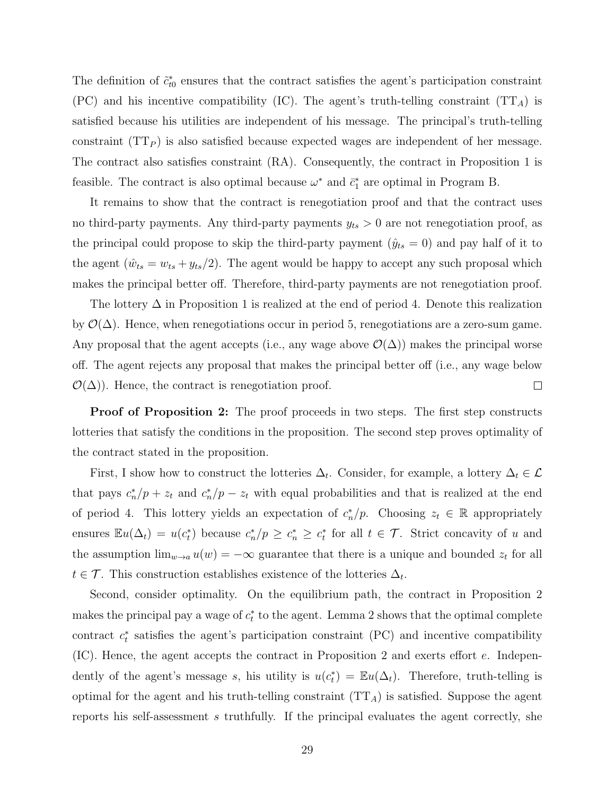The definition of  $\tilde{c}_{t0}^*$  ensures that the contract satisfies the agent's participation constraint (PC) and his incentive compatibility (IC). The agent's truth-telling constraint  $(TT_A)$  is satisfied because his utilities are independent of his message. The principal's truth-telling constraint  $(TT_P)$  is also satisfied because expected wages are independent of her message. The contract also satisfies constraint (RA). Consequently, the contract in Proposition 1 is feasible. The contract is also optimal because  $\omega^*$  and  $\bar{c}_1^*$  are optimal in Program B.

It remains to show that the contract is renegotiation proof and that the contract uses no third-party payments. Any third-party payments  $y_{ts} > 0$  are not renegotiation proof, as the principal could propose to skip the third-party payment  $(\hat{y}_{ts} = 0)$  and pay half of it to the agent  $(\hat{w}_{ts} = w_{ts} + y_{ts}/2)$ . The agent would be happy to accept any such proposal which makes the principal better off. Therefore, third-party payments are not renegotiation proof.

The lottery  $\Delta$  in Proposition 1 is realized at the end of period 4. Denote this realization by  $\mathcal{O}(\Delta)$ . Hence, when renegotiations occur in period 5, renegotiations are a zero-sum game. Any proposal that the agent accepts (i.e., any wage above  $\mathcal{O}(\Delta)$ ) makes the principal worse off. The agent rejects any proposal that makes the principal better off (i.e., any wage below  $\mathcal{O}(\Delta)$ . Hence, the contract is renegotiation proof.  $\Box$ 

**Proof of Proposition 2:** The proof proceeds in two steps. The first step constructs lotteries that satisfy the conditions in the proposition. The second step proves optimality of the contract stated in the proposition.

First, I show how to construct the lotteries  $\Delta_t$ . Consider, for example, a lottery  $\Delta_t \in \mathcal{L}$ that pays  $c_n^*/p + z_t$  and  $c_n^*/p - z_t$  with equal probabilities and that is realized at the end of period 4. This lottery yields an expectation of  $c_n^*/p$ . Choosing  $z_t \in \mathbb{R}$  appropriately ensures  $\mathbb{E}u(\Delta_t) = u(c_t^*)$  because  $c_n^*/p \ge c_n^* \ge c_t^*$  for all  $t \in \mathcal{T}$ . Strict concavity of u and the assumption  $\lim_{w\to a}u(w) = -\infty$  guarantee that there is a unique and bounded  $z_t$  for all  $t \in \mathcal{T}$ . This construction establishes existence of the lotteries  $\Delta_t$ .

Second, consider optimality. On the equilibrium path, the contract in Proposition 2 makes the principal pay a wage of  $c_t^*$  to the agent. Lemma 2 shows that the optimal complete contract  $c_t^*$  satisfies the agent's participation constraint (PC) and incentive compatibility (IC). Hence, the agent accepts the contract in Proposition 2 and exerts effort e. Independently of the agent's message s, his utility is  $u(c_t^*) = \mathbb{E}u(\Delta_t)$ . Therefore, truth-telling is optimal for the agent and his truth-telling constraint  $(TT_A)$  is satisfied. Suppose the agent reports his self-assessment s truthfully. If the principal evaluates the agent correctly, she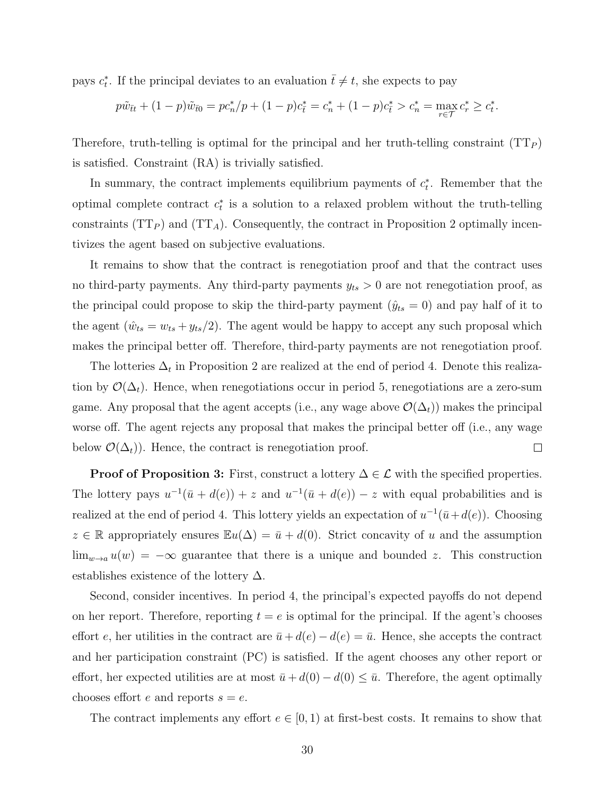pays  $c_t^*$ . If the principal deviates to an evaluation  $\bar{t} \neq t$ , she expects to pay

$$
p\tilde{w}_{\bar{t}t} + (1-p)\tilde{w}_{\bar{t}0} = pc_n^*/p + (1-p)c_{\bar{t}}^* = c_n^* + (1-p)c_{\bar{t}}^* > c_n^* = \max_{r \in \mathcal{T}} c_r^* \ge c_t^*.
$$

Therefore, truth-telling is optimal for the principal and her truth-telling constraint  $(TT_P)$ is satisfied. Constraint (RA) is trivially satisfied.

In summary, the contract implements equilibrium payments of  $c_t^*$ . Remember that the optimal complete contract  $c_t^*$  is a solution to a relaxed problem without the truth-telling constraints ( $TT_P$ ) and ( $TT_A$ ). Consequently, the contract in Proposition 2 optimally incentivizes the agent based on subjective evaluations.

It remains to show that the contract is renegotiation proof and that the contract uses no third-party payments. Any third-party payments  $y_{ts} > 0$  are not renegotiation proof, as the principal could propose to skip the third-party payment  $(\hat{y}_{ts} = 0)$  and pay half of it to the agent  $(\hat{w}_{ts} = w_{ts} + y_{ts}/2)$ . The agent would be happy to accept any such proposal which makes the principal better off. Therefore, third-party payments are not renegotiation proof.

The lotteries  $\Delta_t$  in Proposition 2 are realized at the end of period 4. Denote this realization by  $\mathcal{O}(\Delta_t)$ . Hence, when renegotiations occur in period 5, renegotiations are a zero-sum game. Any proposal that the agent accepts (i.e., any wage above  $\mathcal{O}(\Delta_t)$ ) makes the principal worse off. The agent rejects any proposal that makes the principal better off (i.e., any wage below  $\mathcal{O}(\Delta_t)$ . Hence, the contract is renegotiation proof.  $\Box$ 

**Proof of Proposition 3:** First, construct a lottery  $\Delta \in \mathcal{L}$  with the specified properties. The lottery pays  $u^{-1}(\bar{u} + d(e)) + z$  and  $u^{-1}(\bar{u} + d(e)) - z$  with equal probabilities and is realized at the end of period 4. This lottery yields an expectation of  $u^{-1}(\bar{u}+d(e))$ . Choosing  $z \in \mathbb{R}$  appropriately ensures  $\mathbb{E}u(\Delta) = \bar{u} + d(0)$ . Strict concavity of u and the assumption  $\lim_{w\to a} u(w) = -\infty$  guarantee that there is a unique and bounded z. This construction establishes existence of the lottery  $\Delta$ .

Second, consider incentives. In period 4, the principal's expected payoffs do not depend on her report. Therefore, reporting  $t = e$  is optimal for the principal. If the agent's chooses effort e, her utilities in the contract are  $\bar{u} + d(e) - d(e) = \bar{u}$ . Hence, she accepts the contract and her participation constraint (PC) is satisfied. If the agent chooses any other report or effort, her expected utilities are at most  $\bar{u} + d(0) - d(0) \leq \bar{u}$ . Therefore, the agent optimally chooses effort e and reports  $s = e$ .

The contract implements any effort  $e \in [0, 1)$  at first-best costs. It remains to show that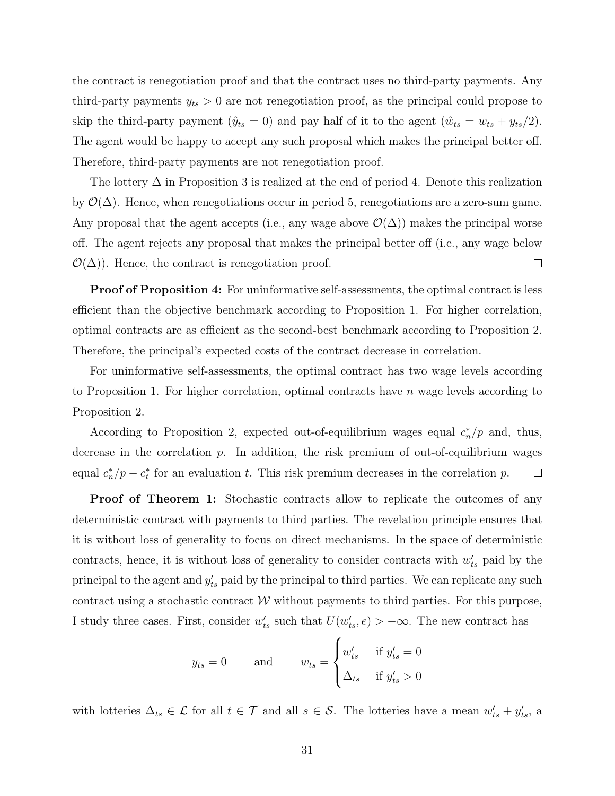the contract is renegotiation proof and that the contract uses no third-party payments. Any third-party payments  $y_{ts} > 0$  are not renegotiation proof, as the principal could propose to skip the third-party payment ( $\hat{y}_{ts} = 0$ ) and pay half of it to the agent ( $\hat{w}_{ts} = w_{ts} + y_{ts}/2$ ). The agent would be happy to accept any such proposal which makes the principal better off. Therefore, third-party payments are not renegotiation proof.

The lottery  $\Delta$  in Proposition 3 is realized at the end of period 4. Denote this realization by  $\mathcal{O}(\Delta)$ . Hence, when renegotiations occur in period 5, renegotiations are a zero-sum game. Any proposal that the agent accepts (i.e., any wage above  $\mathcal{O}(\Delta)$ ) makes the principal worse off. The agent rejects any proposal that makes the principal better off (i.e., any wage below  $\mathcal{O}(\Delta)$ ). Hence, the contract is renegotiation proof.  $\Box$ 

**Proof of Proposition 4:** For uninformative self-assessments, the optimal contract is less efficient than the objective benchmark according to Proposition 1. For higher correlation, optimal contracts are as efficient as the second-best benchmark according to Proposition 2. Therefore, the principal's expected costs of the contract decrease in correlation.

For uninformative self-assessments, the optimal contract has two wage levels according to Proposition 1. For higher correlation, optimal contracts have  $n$  wage levels according to Proposition 2.

According to Proposition 2, expected out-of-equilibrium wages equal  $c_n^*/p$  and, thus, decrease in the correlation  $p$ . In addition, the risk premium of out-of-equilibrium wages equal  $c_n^*/p - c_t^*$  for an evaluation t. This risk premium decreases in the correlation p.  $\Box$ 

**Proof of Theorem 1:** Stochastic contracts allow to replicate the outcomes of any deterministic contract with payments to third parties. The revelation principle ensures that it is without loss of generality to focus on direct mechanisms. In the space of deterministic contracts, hence, it is without loss of generality to consider contracts with  $w'_{ts}$  paid by the principal to the agent and  $y'_{ts}$  paid by the principal to third parties. We can replicate any such contract using a stochastic contract  $W$  without payments to third parties. For this purpose, I study three cases. First, consider  $w'_{ts}$  such that  $U(w'_{ts}, e) > -\infty$ . The new contract has

$$
y_{ts} = 0
$$
 and  $w_{ts} = \begin{cases} w'_{ts} & \text{if } y'_{ts} = 0 \\ \Delta_{ts} & \text{if } y'_{ts} > 0 \end{cases}$ 

with lotteries  $\Delta_{ts} \in \mathcal{L}$  for all  $t \in \mathcal{T}$  and all  $s \in \mathcal{S}$ . The lotteries have a mean  $w'_{ts} + y'_{ts}$ , a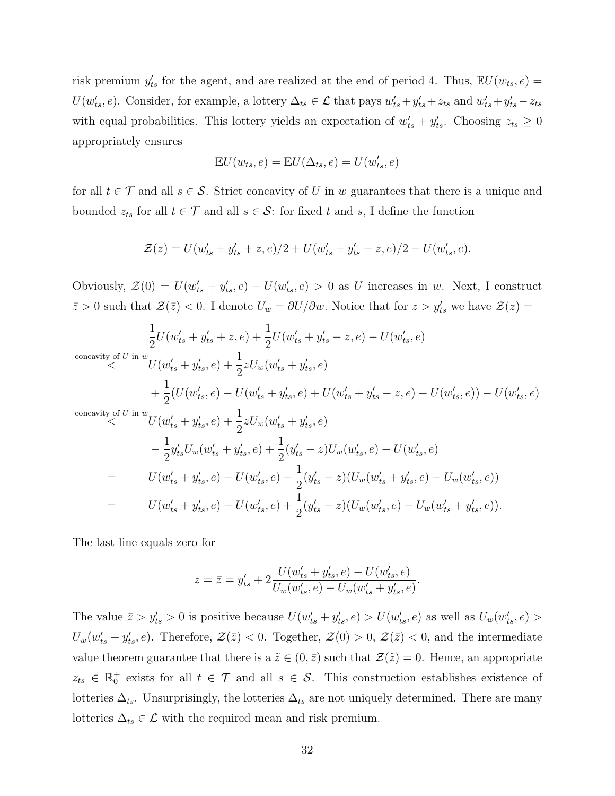risk premium  $y'_{ts}$  for the agent, and are realized at the end of period 4. Thus,  $\mathbb{E}U(w_{ts}, e) =$  $U(w'_{ts}, e)$ . Consider, for example, a lottery  $\Delta_{ts} \in \mathcal{L}$  that pays  $w'_{ts} + y'_{ts} + z_{ts}$  and  $w'_{ts} + y'_{ts} - z_{ts}$ with equal probabilities. This lottery yields an expectation of  $w'_{ts} + y'_{ts}$ . Choosing  $z_{ts} \geq 0$ appropriately ensures

$$
\mathbb{E}U(w_{ts}, e) = \mathbb{E}U(\Delta_{ts}, e) = U(w_{ts}', e)
$$

for all  $t \in \mathcal{T}$  and all  $s \in \mathcal{S}$ . Strict concavity of U in w guarantees that there is a unique and bounded  $z_{ts}$  for all  $t \in \mathcal{T}$  and all  $s \in \mathcal{S}$ : for fixed t and s, I define the function

$$
\mathcal{Z}(z) = U(w'_{ts} + y'_{ts} + z, e)/2 + U(w'_{ts} + y'_{ts} - z, e)/2 - U(w'_{ts}, e).
$$

Obviously,  $\mathcal{Z}(0) = U(w_{ts} + y_{ts}^{\prime}, e) - U(w_{ts}^{\prime}, e) > 0$  as U increases in w. Next, I construct  $\bar{z} > 0$  such that  $\mathcal{Z}(\bar{z}) < 0$ . I denote  $U_w = \partial U / \partial w$ . Notice that for  $z > y'_{ts}$  we have  $\mathcal{Z}(z) =$ 

$$
\frac{1}{2}U(w'_{ts} + y'_{ts} + z, e) + \frac{1}{2}U(w'_{ts} + y'_{ts} - z, e) - U(w'_{ts}, e)
$$
\n
$$
\begin{aligned}\n\text{concavity of } U & \text{in } w \\
& \leq U(w'_{ts} + y'_{ts}, e) + \frac{1}{2}zU_w(w'_{ts} + y'_{ts}, e) \\
& + \frac{1}{2}(U(w'_{ts}, e) - U(w'_{ts} + y'_{ts}, e) + U(w'_{ts} + y'_{ts} - z, e) - U(w'_{ts}, e)) - U(w'_{ts}, e) \\
& \leq U \text{in } w \\
& \leq U(w'_{ts} + y'_{ts}, e) + \frac{1}{2}zU_w(w'_{ts} + y'_{ts}, e) \\
& - \frac{1}{2}y'_{ts}U_w(w'_{ts} + y'_{ts}, e) + \frac{1}{2}(y'_{ts} - z)U_w(w'_{ts}, e) - U(w'_{ts}, e) \\
& = U(w'_{ts} + y'_{ts}, e) - U(w'_{ts}, e) - \frac{1}{2}(y'_{ts} - z)(U_w(w'_{ts} + y'_{ts}, e) - U_w(w'_{ts}, e)) \\
& = U(w'_{ts} + y'_{ts}, e) - U(w'_{ts}, e) + \frac{1}{2}(y'_{ts} - z)(U_w(w'_{ts}, e) - U_w(w'_{ts} + y'_{ts}, e)).\n\end{aligned}
$$

The last line equals zero for

$$
z = \bar{z} = y'_{ts} + 2\frac{U(w'_{ts} + y'_{ts}, e) - U(w'_{ts}, e)}{U_w(w'_{ts}, e) - U_w(w'_{ts} + y'_{ts}, e)}.
$$

The value  $\bar{z} > y'_{ts} > 0$  is positive because  $U(w'_{ts} + y'_{ts}, e) > U(w'_{ts}, e)$  as well as  $U_w(w'_{ts}, e) >$  $U_w(w'_{ts} + y'_{ts}, e)$ . Therefore,  $\mathcal{Z}(\bar{z}) < 0$ . Together,  $\mathcal{Z}(0) > 0$ ,  $\mathcal{Z}(\bar{z}) < 0$ , and the intermediate value theorem guarantee that there is a  $\tilde{z} \in (0, \bar{z})$  such that  $\mathcal{Z}(\tilde{z}) = 0$ . Hence, an appropriate  $z_{ts} \in \mathbb{R}_0^+$  exists for all  $t \in \mathcal{T}$  and all  $s \in \mathcal{S}$ . This construction establishes existence of lotteries  $\Delta_{ts}$ . Unsurprisingly, the lotteries  $\Delta_{ts}$  are not uniquely determined. There are many lotteries  $\Delta_{ts} \in \mathcal{L}$  with the required mean and risk premium.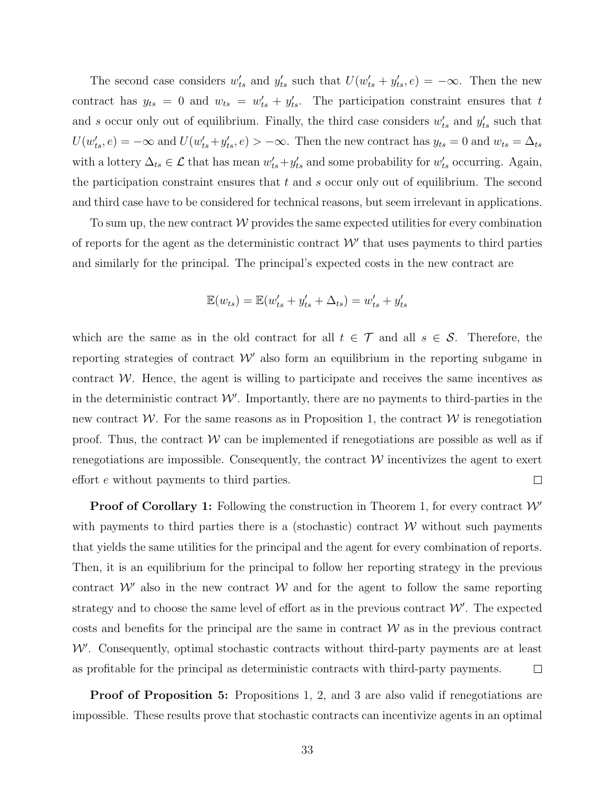The second case considers  $w'_{ts}$  and  $y'_{ts}$  such that  $U(w'_{ts} + y'_{ts}, e) = -\infty$ . Then the new contract has  $y_{ts} = 0$  and  $w_{ts} = w'_{ts} + y'_{ts}$ . The participation constraint ensures that t and s occur only out of equilibrium. Finally, the third case considers  $w'_{ts}$  and  $y'_{ts}$  such that  $U(w'_{ts}, e) = -\infty$  and  $U(w'_{ts} + y'_{ts}, e) > -\infty$ . Then the new contract has  $y_{ts} = 0$  and  $w_{ts} = \Delta_{ts}$ with a lottery  $\Delta_{ts} \in \mathcal{L}$  that has mean  $w'_{ts} + y'_{ts}$  and some probability for  $w'_{ts}$  occurring. Again, the participation constraint ensures that  $t$  and  $s$  occur only out of equilibrium. The second and third case have to be considered for technical reasons, but seem irrelevant in applications.

To sum up, the new contract  $\mathcal W$  provides the same expected utilities for every combination of reports for the agent as the deterministic contract  $W'$  that uses payments to third parties and similarly for the principal. The principal's expected costs in the new contract are

$$
\mathbb{E}(w_{ts}) = \mathbb{E}(w_{ts}' + y_{ts}' + \Delta_{ts}) = w_{ts}' + y_{ts}'
$$

which are the same as in the old contract for all  $t \in \mathcal{T}$  and all  $s \in \mathcal{S}$ . Therefore, the reporting strategies of contract  $\mathcal{W}'$  also form an equilibrium in the reporting subgame in contract  $W$ . Hence, the agent is willing to participate and receives the same incentives as in the deterministic contract  $W'$ . Importantly, there are no payments to third-parties in the new contract W. For the same reasons as in Proposition 1, the contract  $\mathcal W$  is renegotiation proof. Thus, the contract  $W$  can be implemented if renegotiations are possible as well as if renegotiations are impossible. Consequently, the contract  $W$  incentivizes the agent to exert effort e without payments to third parties.  $\Box$ 

**Proof of Corollary 1:** Following the construction in Theorem 1, for every contract  $W'$ with payments to third parties there is a (stochastic) contract  $W$  without such payments that yields the same utilities for the principal and the agent for every combination of reports. Then, it is an equilibrium for the principal to follow her reporting strategy in the previous contract  $W'$  also in the new contract  $W$  and for the agent to follow the same reporting strategy and to choose the same level of effort as in the previous contract  $\mathcal{W}'$ . The expected costs and benefits for the principal are the same in contract  $W$  as in the previous contract  $W'$ . Consequently, optimal stochastic contracts without third-party payments are at least as profitable for the principal as deterministic contracts with third-party payments.  $\Box$ 

**Proof of Proposition 5:** Propositions 1, 2, and 3 are also valid if renegotiations are impossible. These results prove that stochastic contracts can incentivize agents in an optimal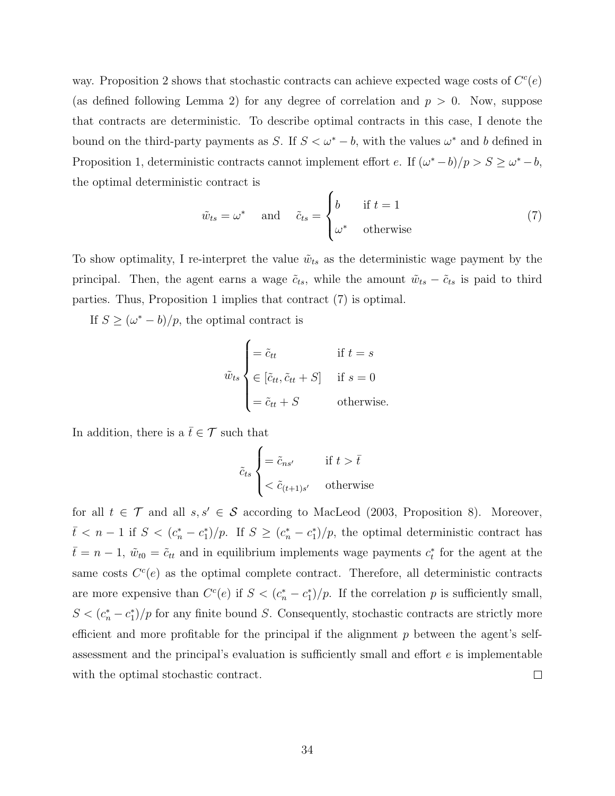way. Proposition 2 shows that stochastic contracts can achieve expected wage costs of  $C<sup>c</sup>(e)$ (as defined following Lemma 2) for any degree of correlation and  $p > 0$ . Now, suppose that contracts are deterministic. To describe optimal contracts in this case, I denote the bound on the third-party payments as S. If  $S < \omega^* - b$ , with the values  $\omega^*$  and b defined in Proposition 1, deterministic contracts cannot implement effort e. If  $(\omega^* - b)/p > S \ge \omega^* - b$ , the optimal deterministic contract is

$$
\tilde{w}_{ts} = \omega^* \quad \text{and} \quad \tilde{c}_{ts} = \begin{cases} b & \text{if } t = 1 \\ \omega^* & \text{otherwise} \end{cases} \tag{7}
$$

To show optimality, I re-interpret the value  $\tilde{w}_{ts}$  as the deterministic wage payment by the principal. Then, the agent earns a wage  $\tilde{c}_{ts}$ , while the amount  $\tilde{w}_{ts} - \tilde{c}_{ts}$  is paid to third parties. Thus, Proposition 1 implies that contract (7) is optimal.

If  $S \geq (\omega^* - b)/p$ , the optimal contract is

$$
\tilde{w}_{ts} \begin{cases}\n= \tilde{c}_{tt} & \text{if } t = s \\
\in [\tilde{c}_{tt}, \tilde{c}_{tt} + S] & \text{if } s = 0 \\
= \tilde{c}_{tt} + S & \text{otherwise.} \n\end{cases}
$$

In addition, there is a  $\bar{t} \in \mathcal{T}$  such that

$$
\tilde{c}_{ts}\begin{cases}=\tilde{c}_{ns'} & \text{if } t > \bar{t} \\ < \tilde{c}_{(t+1)s'} & \text{otherwise}\end{cases}
$$

for all  $t \in \mathcal{T}$  and all  $s, s' \in \mathcal{S}$  according to MacLeod (2003, Proposition 8). Moreover,  $\bar{t} < n-1$  if  $S < (c_n^* - c_1^*)/p$ . If  $S \ge (c_n^* - c_1^*)/p$ , the optimal deterministic contract has  $\bar{t} = n - 1$ ,  $\tilde{w}_{t0} = \tilde{c}_{tt}$  and in equilibrium implements wage payments  $c_t^*$  for the agent at the same costs  $C<sup>c</sup>(e)$  as the optimal complete contract. Therefore, all deterministic contracts are more expensive than  $C<sup>c</sup>(e)$  if  $S < (c_n^* - c_1^*)/p$ . If the correlation p is sufficiently small,  $S < (c_n^* - c_1^*)/p$  for any finite bound S. Consequently, stochastic contracts are strictly more efficient and more profitable for the principal if the alignment  $p$  between the agent's selfassessment and the principal's evaluation is sufficiently small and effort e is implementable with the optimal stochastic contract.  $\Box$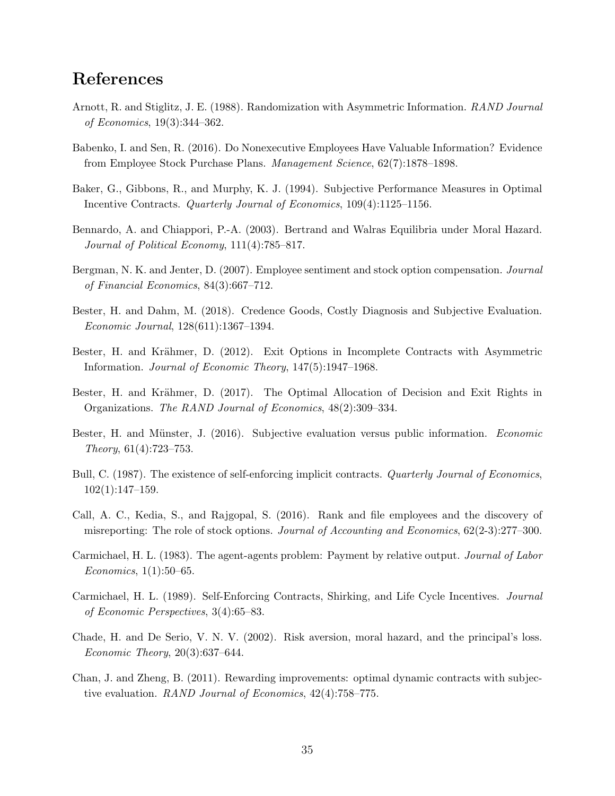# References

- Arnott, R. and Stiglitz, J. E. (1988). Randomization with Asymmetric Information. RAND Journal of Economics, 19(3):344–362.
- Babenko, I. and Sen, R. (2016). Do Nonexecutive Employees Have Valuable Information? Evidence from Employee Stock Purchase Plans. Management Science, 62(7):1878–1898.
- Baker, G., Gibbons, R., and Murphy, K. J. (1994). Subjective Performance Measures in Optimal Incentive Contracts. Quarterly Journal of Economics, 109(4):1125–1156.
- Bennardo, A. and Chiappori, P.-A. (2003). Bertrand and Walras Equilibria under Moral Hazard. Journal of Political Economy, 111(4):785–817.
- Bergman, N. K. and Jenter, D. (2007). Employee sentiment and stock option compensation. Journal of Financial Economics, 84(3):667–712.
- Bester, H. and Dahm, M. (2018). Credence Goods, Costly Diagnosis and Subjective Evaluation. Economic Journal, 128(611):1367–1394.
- Bester, H. and Krähmer, D. (2012). Exit Options in Incomplete Contracts with Asymmetric Information. Journal of Economic Theory, 147(5):1947–1968.
- Bester, H. and Krähmer, D. (2017). The Optimal Allocation of Decision and Exit Rights in Organizations. The RAND Journal of Economics, 48(2):309–334.
- Bester, H. and Münster, J. (2016). Subjective evaluation versus public information. Economic Theory, 61(4):723–753.
- Bull, C. (1987). The existence of self-enforcing implicit contracts. Quarterly Journal of Economics,  $102(1):147-159.$
- Call, A. C., Kedia, S., and Rajgopal, S. (2016). Rank and file employees and the discovery of misreporting: The role of stock options. Journal of Accounting and Economics,  $62(2-3):277-300$ .
- Carmichael, H. L. (1983). The agent-agents problem: Payment by relative output. Journal of Labor Economics, 1(1):50–65.
- Carmichael, H. L. (1989). Self-Enforcing Contracts, Shirking, and Life Cycle Incentives. Journal of Economic Perspectives, 3(4):65–83.
- Chade, H. and De Serio, V. N. V. (2002). Risk aversion, moral hazard, and the principal's loss. Economic Theory, 20(3):637–644.
- Chan, J. and Zheng, B. (2011). Rewarding improvements: optimal dynamic contracts with subjective evaluation. RAND Journal of Economics, 42(4):758–775.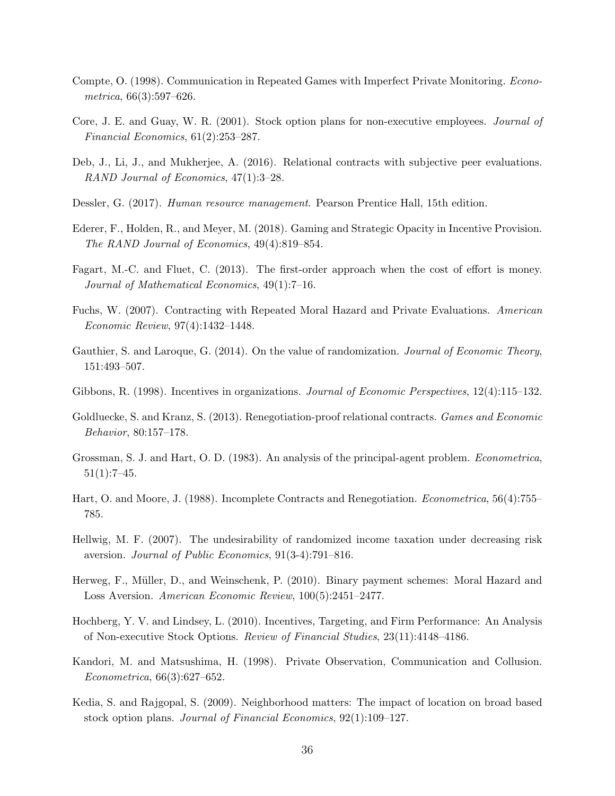- Compte, O. (1998). Communication in Repeated Games with Imperfect Private Monitoring. Econometrica, 66(3):597–626.
- Core, J. E. and Guay, W. R. (2001). Stock option plans for non-executive employees. Journal of Financial Economics, 61(2):253–287.
- Deb, J., Li, J., and Mukherjee, A. (2016). Relational contracts with subjective peer evaluations. RAND Journal of Economics, 47(1):3–28.
- Dessler, G. (2017). *Human resource management*. Pearson Prentice Hall, 15th edition.
- Ederer, F., Holden, R., and Meyer, M. (2018). Gaming and Strategic Opacity in Incentive Provision. The RAND Journal of Economics, 49(4):819–854.
- Fagart, M.-C. and Fluet, C. (2013). The first-order approach when the cost of effort is money. Journal of Mathematical Economics, 49(1):7–16.
- Fuchs, W. (2007). Contracting with Repeated Moral Hazard and Private Evaluations. American Economic Review, 97(4):1432–1448.
- Gauthier, S. and Laroque, G. (2014). On the value of randomization. Journal of Economic Theory, 151:493–507.
- Gibbons, R. (1998). Incentives in organizations. Journal of Economic Perspectives, 12(4):115–132.
- Goldluecke, S. and Kranz, S. (2013). Renegotiation-proof relational contracts. Games and Economic Behavior, 80:157–178.
- Grossman, S. J. and Hart, O. D. (1983). An analysis of the principal-agent problem. Econometrica,  $51(1):7-45.$
- Hart, O. and Moore, J. (1988). Incomplete Contracts and Renegotiation. Econometrica, 56(4):755– 785.
- Hellwig, M. F. (2007). The undesirability of randomized income taxation under decreasing risk aversion. Journal of Public Economics, 91(3-4):791–816.
- Herweg, F., Müller, D., and Weinschenk, P. (2010). Binary payment schemes: Moral Hazard and Loss Aversion. American Economic Review, 100(5):2451–2477.
- Hochberg, Y. V. and Lindsey, L. (2010). Incentives, Targeting, and Firm Performance: An Analysis of Non-executive Stock Options. Review of Financial Studies, 23(11):4148–4186.
- Kandori, M. and Matsushima, H. (1998). Private Observation, Communication and Collusion. Econometrica, 66(3):627–652.
- Kedia, S. and Rajgopal, S. (2009). Neighborhood matters: The impact of location on broad based stock option plans. Journal of Financial Economics, 92(1):109–127.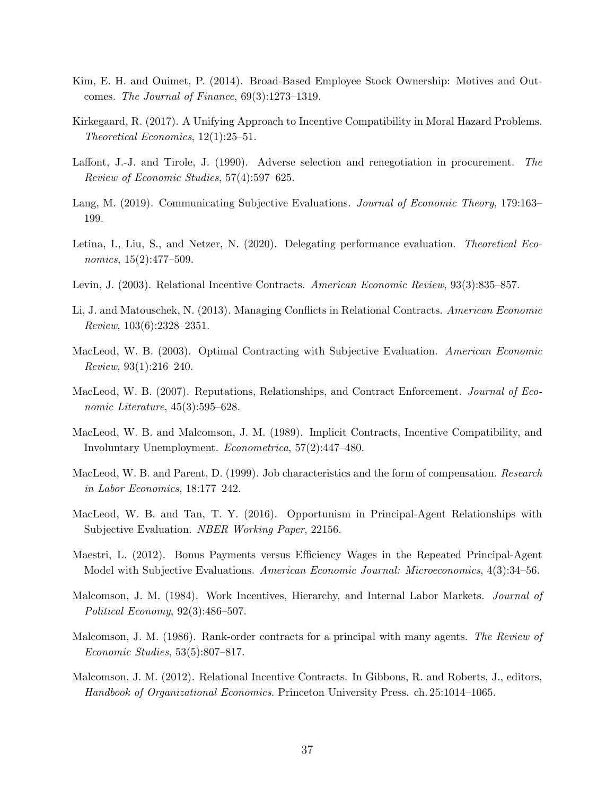- Kim, E. H. and Ouimet, P. (2014). Broad-Based Employee Stock Ownership: Motives and Outcomes. The Journal of Finance, 69(3):1273–1319.
- Kirkegaard, R. (2017). A Unifying Approach to Incentive Compatibility in Moral Hazard Problems. Theoretical Economics, 12(1):25–51.
- Laffont, J.-J. and Tirole, J. (1990). Adverse selection and renegotiation in procurement. The Review of Economic Studies, 57(4):597–625.
- Lang, M. (2019). Communicating Subjective Evaluations. Journal of Economic Theory, 179:163– 199.
- Letina, I., Liu, S., and Netzer, N. (2020). Delegating performance evaluation. *Theoretical Eco*nomics, 15(2):477–509.
- Levin, J. (2003). Relational Incentive Contracts. American Economic Review, 93(3):835–857.
- Li, J. and Matouschek, N. (2013). Managing Conflicts in Relational Contracts. American Economic Review, 103(6):2328–2351.
- MacLeod, W. B. (2003). Optimal Contracting with Subjective Evaluation. American Economic Review, 93(1):216–240.
- MacLeod, W. B. (2007). Reputations, Relationships, and Contract Enforcement. *Journal of Eco*nomic Literature,  $45(3):595-628$ .
- MacLeod, W. B. and Malcomson, J. M. (1989). Implicit Contracts, Incentive Compatibility, and Involuntary Unemployment. Econometrica, 57(2):447–480.
- MacLeod, W. B. and Parent, D. (1999). Job characteristics and the form of compensation. Research in Labor Economics, 18:177–242.
- MacLeod, W. B. and Tan, T. Y. (2016). Opportunism in Principal-Agent Relationships with Subjective Evaluation. NBER Working Paper, 22156.
- Maestri, L. (2012). Bonus Payments versus Efficiency Wages in the Repeated Principal-Agent Model with Subjective Evaluations. American Economic Journal: Microeconomics, 4(3):34–56.
- Malcomson, J. M. (1984). Work Incentives, Hierarchy, and Internal Labor Markets. Journal of Political Economy, 92(3):486–507.
- Malcomson, J. M. (1986). Rank-order contracts for a principal with many agents. The Review of Economic Studies, 53(5):807–817.
- Malcomson, J. M. (2012). Relational Incentive Contracts. In Gibbons, R. and Roberts, J., editors, Handbook of Organizational Economics. Princeton University Press. ch. 25:1014–1065.